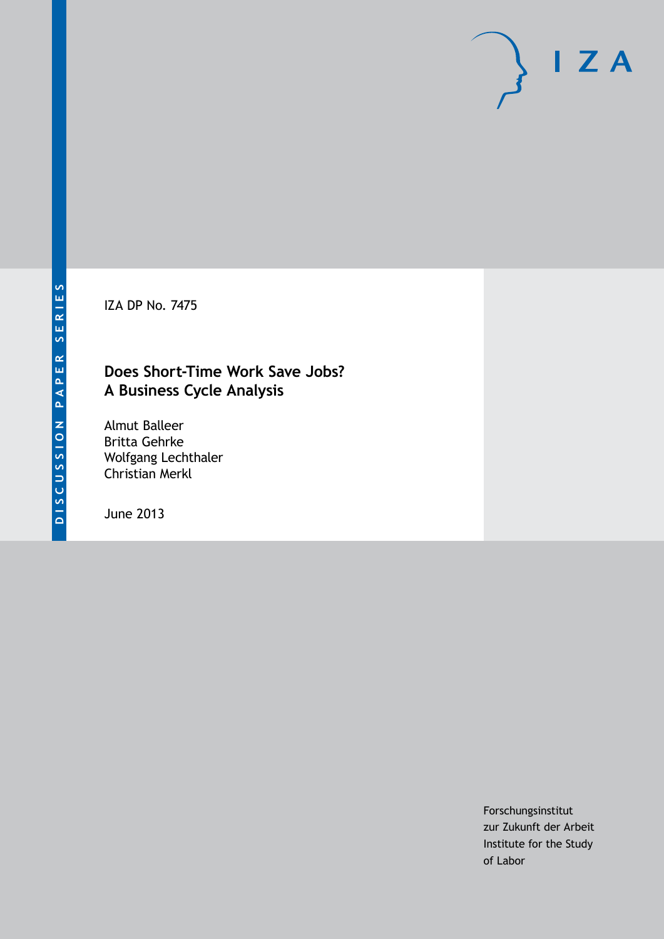IZA DP No. 7475

# **Does Short-Time Work Save Jobs? A Business Cycle Analysis**

Almut Balleer Britta Gehrke Wolfgang Lechthaler Christian Merkl

June 2013

Forschungsinstitut zur Zukunft der Arbeit Institute for the Study of Labor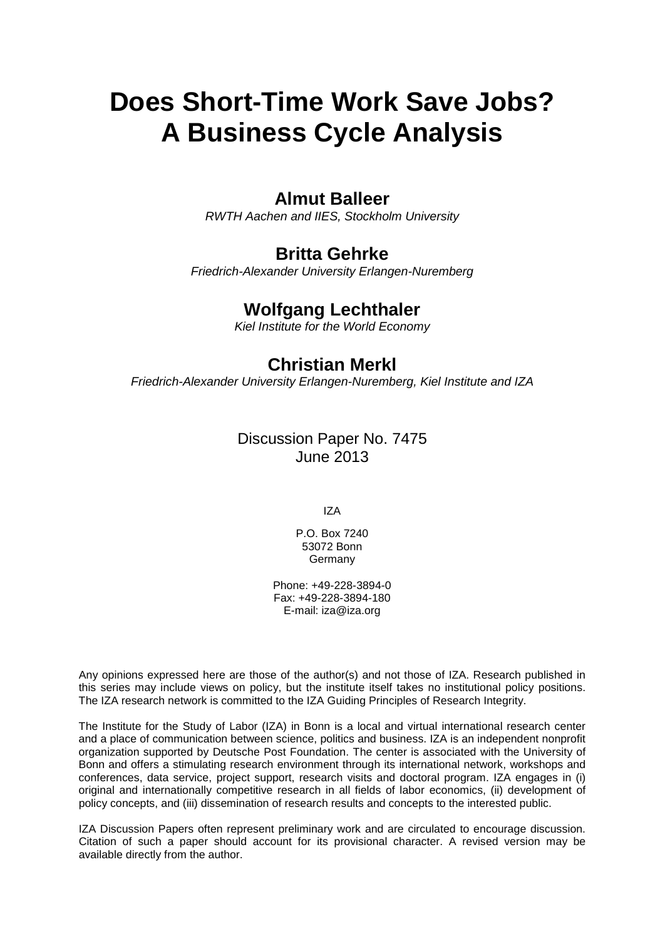# **Does Short-Time Work Save Jobs? A Business Cycle Analysis**

### **Almut Balleer**

*RWTH Aachen and IIES, Stockholm University*

## **Britta Gehrke**

*Friedrich-Alexander University Erlangen-Nuremberg*

# **Wolfgang Lechthaler**

*Kiel Institute for the World Economy*

# **Christian Merkl**

*Friedrich-Alexander University Erlangen-Nuremberg, Kiel Institute and IZA*

### Discussion Paper No. 7475 June 2013

IZA

P.O. Box 7240 53072 Bonn Germany

Phone: +49-228-3894-0 Fax: +49-228-3894-180 E-mail: [iza@iza.org](mailto:iza@iza.org)

Any opinions expressed here are those of the author(s) and not those of IZA. Research published in this series may include views on policy, but the institute itself takes no institutional policy positions. The IZA research network is committed to the IZA Guiding Principles of Research Integrity.

The Institute for the Study of Labor (IZA) in Bonn is a local and virtual international research center and a place of communication between science, politics and business. IZA is an independent nonprofit organization supported by Deutsche Post Foundation. The center is associated with the University of Bonn and offers a stimulating research environment through its international network, workshops and conferences, data service, project support, research visits and doctoral program. IZA engages in (i) original and internationally competitive research in all fields of labor economics, (ii) development of policy concepts, and (iii) dissemination of research results and concepts to the interested public.

<span id="page-1-0"></span>IZA Discussion Papers often represent preliminary work and are circulated to encourage discussion. Citation of such a paper should account for its provisional character. A revised version may be available directly from the author.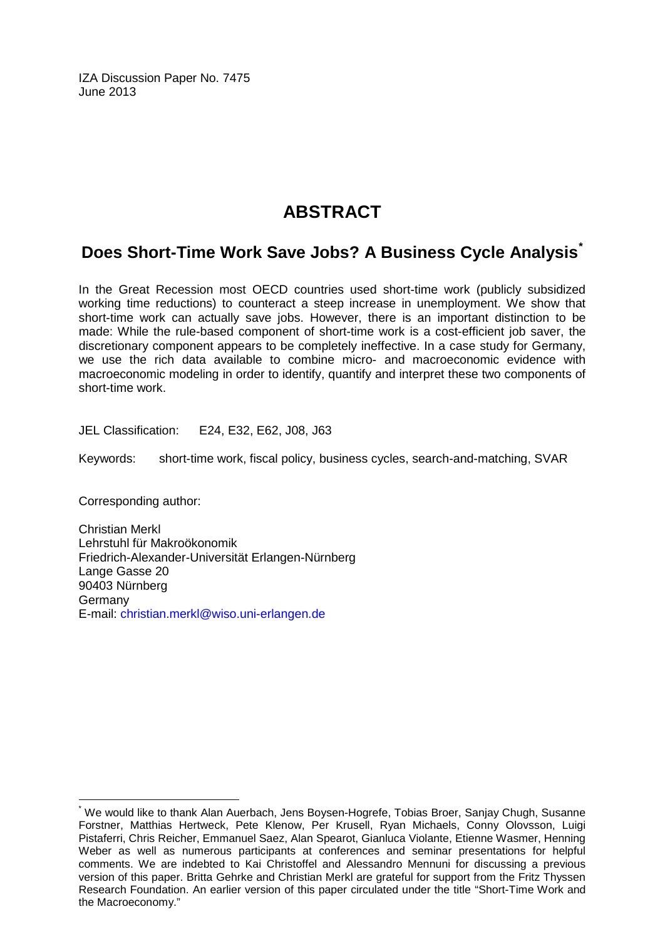IZA Discussion Paper No. 7475 June 2013

# **ABSTRACT**

# **Does Short-Time Work Save Jobs? A Business Cycle Analysis[\\*](#page-1-0)**

In the Great Recession most OECD countries used short-time work (publicly subsidized working time reductions) to counteract a steep increase in unemployment. We show that short-time work can actually save jobs. However, there is an important distinction to be made: While the rule-based component of short-time work is a cost-efficient job saver, the discretionary component appears to be completely ineffective. In a case study for Germany, we use the rich data available to combine micro- and macroeconomic evidence with macroeconomic modeling in order to identify, quantify and interpret these two components of short-time work.

JEL Classification: E24, E32, E62, J08, J63

Keywords: short-time work, fiscal policy, business cycles, search-and-matching, SVAR

Corresponding author:

Christian Merkl Lehrstuhl für Makroökonomik Friedrich-Alexander-Universität Erlangen-Nürnberg Lange Gasse 20 90403 Nürnberg Germany E-mail: [christian.merkl@wiso.uni-erlangen.de](mailto:christian.merkl@wiso.uni-erlangen.de)

We would like to thank Alan Auerbach, Jens Boysen-Hogrefe, Tobias Broer, Sanjay Chugh, Susanne Forstner, Matthias Hertweck, Pete Klenow, Per Krusell, Ryan Michaels, Conny Olovsson, Luigi Pistaferri, Chris Reicher, Emmanuel Saez, Alan Spearot, Gianluca Violante, Etienne Wasmer, Henning Weber as well as numerous participants at conferences and seminar presentations for helpful comments. We are indebted to Kai Christoffel and Alessandro Mennuni for discussing a previous version of this paper. Britta Gehrke and Christian Merkl are grateful for support from the Fritz Thyssen Research Foundation. An earlier version of this paper circulated under the title "Short-Time Work and the Macroeconomy."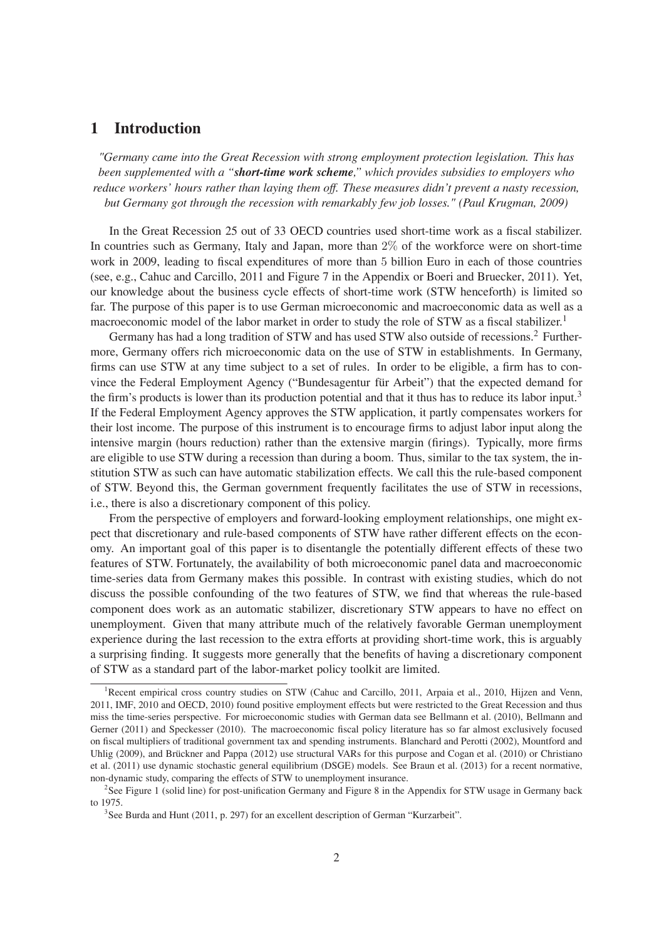### **1 Introduction**

*"Germany came into the Great Recession with strong employment protection legislation. This has been supplemented with a "short-time work scheme," which provides subsidies to employers who reduce workers' hours rather than laying them off. These measures didn't prevent a nasty recession, but Germany got through the recession with remarkably few job losses." (Paul Krugman, 2009)*

In the Great Recession 25 out of 33 OECD countries used short-time work as a fiscal stabilizer. In countries such as Germany, Italy and Japan, more than 2% of the workforce were on short-time work in 2009, leading to fiscal expenditures of more than 5 billion Euro in each of those countries (see, e.g., Cahuc and Carcillo, 2011 and Figure 7 in the Appendix or Boeri and Bruecker, 2011). Yet, our knowledge about the business cycle effects of short-time work (STW henceforth) is limited so far. The purpose of this paper is to use German microeconomic and macroeconomic data as well as a macroeconomic model of the labor market in order to study the role of STW as a fiscal stabilizer.<sup>1</sup>

Germany has had a long tradition of STW and has used STW also outside of recessions.<sup>2</sup> Furthermore, Germany offers rich microeconomic data on the use of STW in establishments. In Germany, firms can use STW at any time subject to a set of rules. In order to be eligible, a firm has to convince the Federal Employment Agency ("Bundesagentur für Arbeit") that the expected demand for the firm's products is lower than its production potential and that it thus has to reduce its labor input.<sup>3</sup> If the Federal Employment Agency approves the STW application, it partly compensates workers for their lost income. The purpose of this instrument is to encourage firms to adjust labor input along the intensive margin (hours reduction) rather than the extensive margin (firings). Typically, more firms are eligible to use STW during a recession than during a boom. Thus, similar to the tax system, the institution STW as such can have automatic stabilization effects. We call this the rule-based component of STW. Beyond this, the German government frequently facilitates the use of STW in recessions, i.e., there is also a discretionary component of this policy.

From the perspective of employers and forward-looking employment relationships, one might expect that discretionary and rule-based components of STW have rather different effects on the economy. An important goal of this paper is to disentangle the potentially different effects of these two features of STW. Fortunately, the availability of both microeconomic panel data and macroeconomic time-series data from Germany makes this possible. In contrast with existing studies, which do not discuss the possible confounding of the two features of STW, we find that whereas the rule-based component does work as an automatic stabilizer, discretionary STW appears to have no effect on unemployment. Given that many attribute much of the relatively favorable German unemployment experience during the last recession to the extra efforts at providing short-time work, this is arguably a surprising finding. It suggests more generally that the benefits of having a discretionary component of STW as a standard part of the labor-market policy toolkit are limited.

<sup>&</sup>lt;sup>1</sup>Recent empirical cross country studies on STW (Cahuc and Carcillo, 2011, Arpaia et al., 2010, Hijzen and Venn, 2011, IMF, 2010 and OECD, 2010) found positive employment effects but were restricted to the Great Recession and thus miss the time-series perspective. For microeconomic studies with German data see Bellmann et al. (2010), Bellmann and Gerner (2011) and Speckesser (2010). The macroeconomic fiscal policy literature has so far almost exclusively focused on fiscal multipliers of traditional government tax and spending instruments. Blanchard and Perotti (2002), Mountford and Uhlig (2009), and Brückner and Pappa (2012) use structural VARs for this purpose and Cogan et al. (2010) or Christiano et al. (2011) use dynamic stochastic general equilibrium (DSGE) models. See Braun et al. (2013) for a recent normative, non-dynamic study, comparing the effects of STW to unemployment insurance.

<sup>&</sup>lt;sup>2</sup>See Figure 1 (solid line) for post-unification Germany and Figure 8 in the Appendix for STW usage in Germany back to 1975.

<sup>&</sup>lt;sup>3</sup>See Burda and Hunt (2011, p. 297) for an excellent description of German "Kurzarbeit".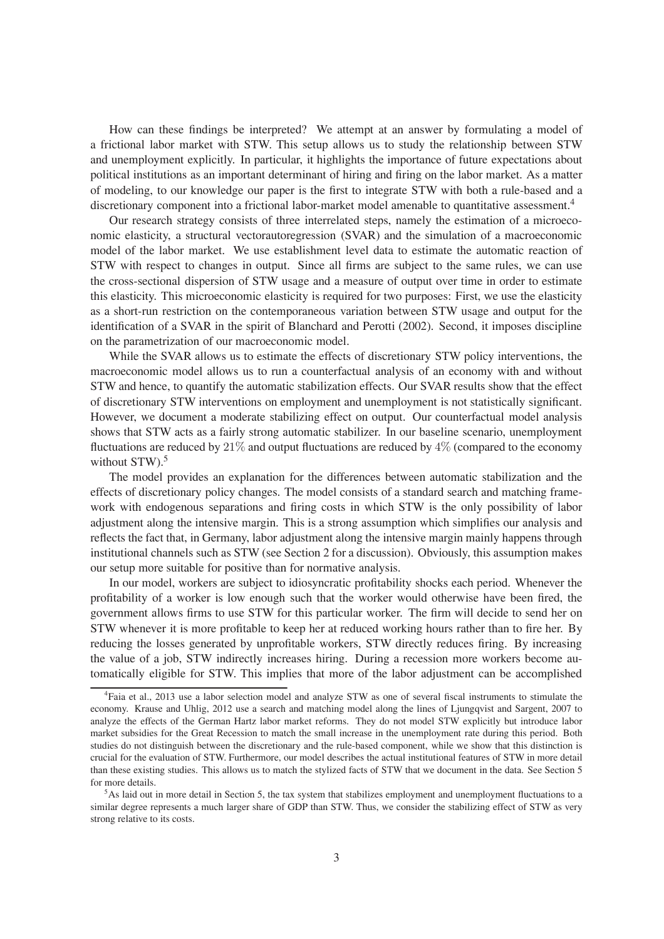How can these findings be interpreted? We attempt at an answer by formulating a model of a frictional labor market with STW. This setup allows us to study the relationship between STW and unemployment explicitly. In particular, it highlights the importance of future expectations about political institutions as an important determinant of hiring and firing on the labor market. As a matter of modeling, to our knowledge our paper is the first to integrate STW with both a rule-based and a discretionary component into a frictional labor-market model amenable to quantitative assessment.<sup>4</sup>

Our research strategy consists of three interrelated steps, namely the estimation of a microeconomic elasticity, a structural vectorautoregression (SVAR) and the simulation of a macroeconomic model of the labor market. We use establishment level data to estimate the automatic reaction of STW with respect to changes in output. Since all firms are subject to the same rules, we can use the cross-sectional dispersion of STW usage and a measure of output over time in order to estimate this elasticity. This microeconomic elasticity is required for two purposes: First, we use the elasticity as a short-run restriction on the contemporaneous variation between STW usage and output for the identification of a SVAR in the spirit of Blanchard and Perotti (2002). Second, it imposes discipline on the parametrization of our macroeconomic model.

While the SVAR allows us to estimate the effects of discretionary STW policy interventions, the macroeconomic model allows us to run a counterfactual analysis of an economy with and without STW and hence, to quantify the automatic stabilization effects. Our SVAR results show that the effect of discretionary STW interventions on employment and unemployment is not statistically signicant. However, we document a moderate stabilizing effect on output. Our counterfactual model analysis shows that STW acts as a fairly strong automatic stabilizer. In our baseline scenario, unemployment fluctuations are reduced by  $21\%$  and output fluctuations are reduced by  $4\%$  (compared to the economy without  $STW$ ).<sup>5</sup>

The model provides an explanation for the differences between automatic stabilization and the effects of discretionary policy changes. The model consists of a standard search and matching framework with endogenous separations and firing costs in which STW is the only possibility of labor adjustment along the intensive margin. This is a strong assumption which simplifies our analysis and reflects the fact that, in Germany, labor adjustment along the intensive margin mainly happens through institutional channels such as STW (see Section 2 for a discussion). Obviously, this assumption makes our setup more suitable for positive than for normative analysis.

In our model, workers are subject to idiosyncratic protability shocks each period. Whenever the profitability of a worker is low enough such that the worker would otherwise have been fired, the government allows firms to use STW for this particular worker. The firm will decide to send her on STW whenever it is more profitable to keep her at reduced working hours rather than to fire her. By reducing the losses generated by unprofitable workers, STW directly reduces firing. By increasing the value of a job, STW indirectly increases hiring. During a recession more workers become automatically eligible for STW. This implies that more of the labor adjustment can be accomplished

<sup>&</sup>lt;sup>4</sup>Faia et al., 2013 use a labor selection model and analyze STW as one of several fiscal instruments to stimulate the economy. Krause and Uhlig, 2012 use a search and matching model along the lines of Ljungqvist and Sargent, 2007 to analyze the effects of the German Hartz labor market reforms. They do not model STW explicitly but introduce labor market subsidies for the Great Recession to match the small increase in the unemployment rate during this period. Both studies do not distinguish between the discretionary and the rule-based component, while we show that this distinction is crucial for the evaluation of STW. Furthermore, our model describes the actual institutional features of STW in more detail than these existing studies. This allows us to match the stylized facts of STW that we document in the data. See Section 5 for more details.

 $5$ As laid out in more detail in Section 5, the tax system that stabilizes employment and unemployment fluctuations to a similar degree represents a much larger share of GDP than STW. Thus, we consider the stabilizing effect of STW as very strong relative to its costs.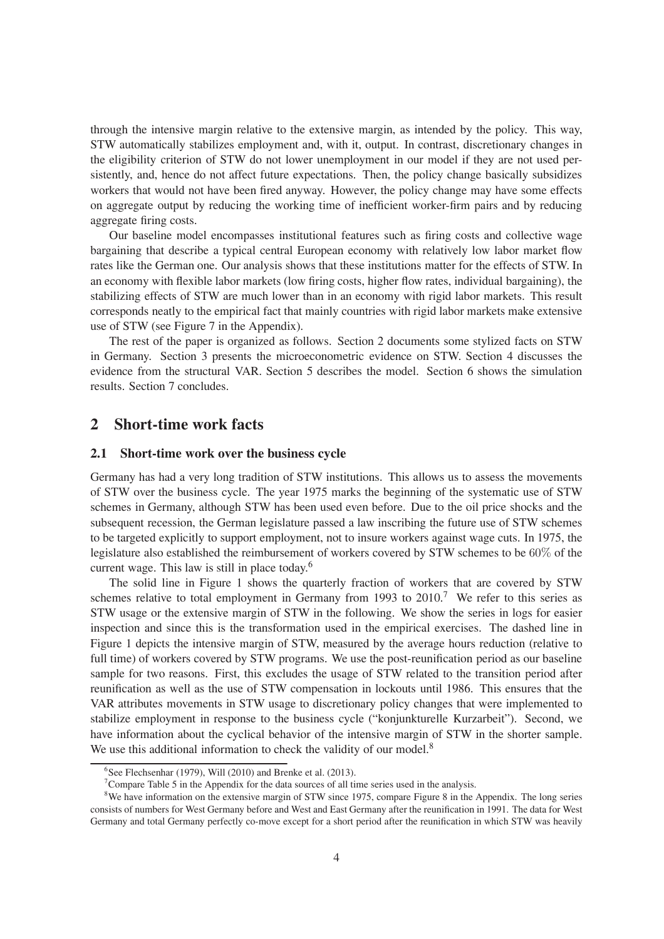through the intensive margin relative to the extensive margin, as intended by the policy. This way, STW automatically stabilizes employment and, with it, output. In contrast, discretionary changes in the eligibility criterion of STW do not lower unemployment in our model if they are not used persistently, and, hence do not affect future expectations. Then, the policy change basically subsidizes workers that would not have been fired anyway. However, the policy change may have some effects on aggregate output by reducing the working time of inefficient worker-firm pairs and by reducing aggregate firing costs.

Our baseline model encompasses institutional features such as firing costs and collective wage bargaining that describe a typical central European economy with relatively low labor market flow rates like the German one. Our analysis shows that these institutions matter for the effects of STW. In an economy with flexible labor markets (low firing costs, higher flow rates, individual bargaining), the stabilizing effects of STW are much lower than in an economy with rigid labor markets. This result corresponds neatly to the empirical fact that mainly countries with rigid labor markets make extensive use of STW (see Figure 7 in the Appendix).

The rest of the paper is organized as follows. Section 2 documents some stylized facts on STW in Germany. Section 3 presents the microeconometric evidence on STW. Section 4 discusses the evidence from the structural VAR. Section 5 describes the model. Section 6 shows the simulation results. Section 7 concludes.

### **2 Short-time work facts**

#### **2.1 Short-time work over the business cycle**

Germany has had a very long tradition of STW institutions. This allows us to assess the movements of STW over the business cycle. The year 1975 marks the beginning of the systematic use of STW schemes in Germany, although STW has been used even before. Due to the oil price shocks and the subsequent recession, the German legislature passed a law inscribing the future use of STW schemes to be targeted explicitly to support employment, not to insure workers against wage cuts. In 1975, the legislature also established the reimbursement of workers covered by STW schemes to be 60% of the current wage. This law is still in place today.<sup>6</sup>

The solid line in Figure 1 shows the quarterly fraction of workers that are covered by STW schemes relative to total employment in Germany from 1993 to  $2010$ .<sup>7</sup> We refer to this series as STW usage or the extensive margin of STW in the following. We show the series in logs for easier inspection and since this is the transformation used in the empirical exercises. The dashed line in Figure 1 depicts the intensive margin of STW, measured by the average hours reduction (relative to full time) of workers covered by STW programs. We use the post-reunification period as our baseline sample for two reasons. First, this excludes the usage of STW related to the transition period after reunification as well as the use of STW compensation in lockouts until 1986. This ensures that the VAR attributes movements in STW usage to discretionary policy changes that were implemented to stabilize employment in response to the business cycle ("konjunkturelle Kurzarbeit"). Second, we have information about the cyclical behavior of the intensive margin of STW in the shorter sample. We use this additional information to check the validity of our model.<sup>8</sup>

<sup>6</sup> See Flechsenhar (1979), Will (2010) and Brenke et al. (2013).

<sup>7</sup>Compare Table 5 in the Appendix for the data sources of all time series used in the analysis.

<sup>&</sup>lt;sup>8</sup>We have information on the extensive margin of STW since 1975, compare Figure 8 in the Appendix. The long series consists of numbers for West Germany before and West and East Germany after the reunification in 1991. The data for West Germany and total Germany perfectly co-move except for a short period after the reunification in which STW was heavily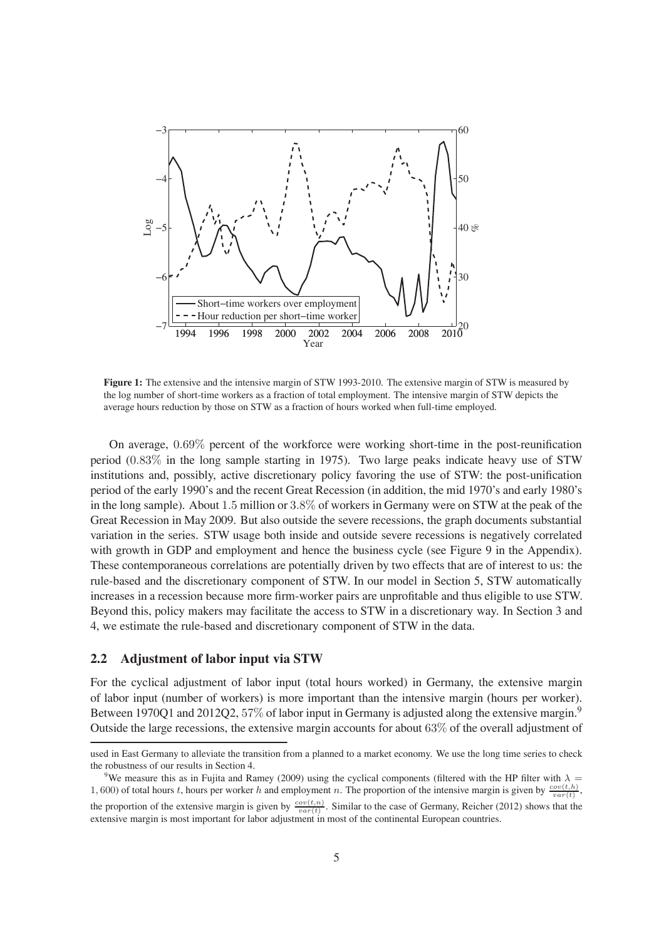

**Figure 1:** The extensive and the intensive margin of STW 1993-2010. The extensive margin of STW is measured by the log number of short-time workers as a fraction of total employment. The intensive margin of STW depicts the average hours reduction by those on STW as a fraction of hours worked when full-time employed.

On average, 0.69% percent of the workforce were working short-time in the post-reunication period (0.83% in the long sample starting in 1975). Two large peaks indicate heavy use of STW institutions and, possibly, active discretionary policy favoring the use of STW: the post-unification period of the early 1990's and the recent Great Recession (in addition, the mid 1970's and early 1980's in the long sample). About 1.5 million or 3.8% of workers in Germany were on STW at the peak of the Great Recession in May 2009. But also outside the severe recessions, the graph documents substantial variation in the series. STW usage both inside and outside severe recessions is negatively correlated with growth in GDP and employment and hence the business cycle (see Figure 9 in the Appendix). These contemporaneous correlations are potentially driven by two effects that are of interest to us: the rule-based and the discretionary component of STW. In our model in Section 5, STW automatically increases in a recession because more firm-worker pairs are unprofitable and thus eligible to use STW. Beyond this, policy makers may facilitate the access to STW in a discretionary way. In Section 3 and 4, we estimate the rule-based and discretionary component of STW in the data.

#### **2.2 Adjustment of labor input via STW**

For the cyclical adjustment of labor input (total hours worked) in Germany, the extensive margin of labor input (number of workers) is more important than the intensive margin (hours per worker). Between 1970Q1 and 2012Q2, 57% of labor input in Germany is adjusted along the extensive margin.<sup>9</sup> Outside the large recessions, the extensive margin accounts for about 63% of the overall adjustment of

used in East Germany to alleviate the transition from a planned to a market economy. We use the long time series to check the robustness of our results in Section 4.

<sup>&</sup>lt;sup>9</sup>We measure this as in Fujita and Ramey (2009) using the cyclical components (filtered with the HP filter with  $\lambda =$ 1, 600) of total hours t, hours per worker h and employment n. The proportion of the intensive margin is given by  $\frac{cov(t,h)}{var(t)}$ ,

the proportion of the extensive margin is given by  $\frac{cov(t,n)}{var(t)}$ . Similar to the case of Germany, Reicher (2012) shows that the extensive margin is most important for labor adjustment in most of the continental European countries.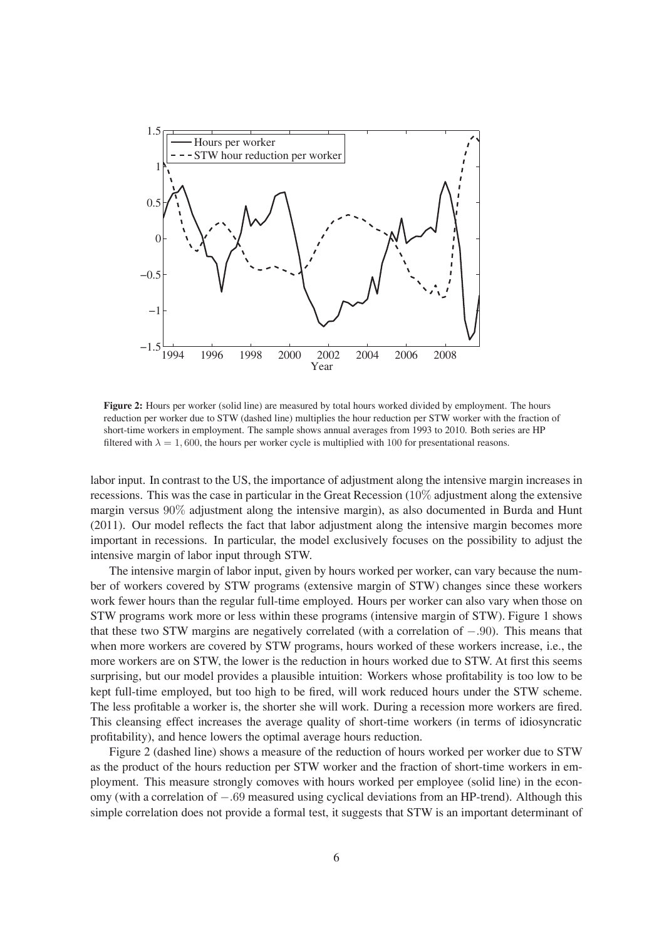

**Figure 2:** Hours per worker (solid line) are measured by total hours worked divided by employment. The hours reduction per worker due to STW (dashed line) multiplies the hour reduction per STW worker with the fraction of short-time workers in employment. The sample shows annual averages from 1993 to 2010. Both series are HP filtered with  $\lambda = 1,600$ , the hours per worker cycle is multiplied with 100 for presentational reasons.

labor input. In contrast to the US, the importance of adjustment along the intensive margin increases in recessions. This was the case in particular in the Great Recession (10% adjustment along the extensive margin versus 90% adjustment along the intensive margin), as also documented in Burda and Hunt (2011). Our model reflects the fact that labor adjustment along the intensive margin becomes more important in recessions. In particular, the model exclusively focuses on the possibility to adjust the intensive margin of labor input through STW.

The intensive margin of labor input, given by hours worked per worker, can vary because the number of workers covered by STW programs (extensive margin of STW) changes since these workers work fewer hours than the regular full-time employed. Hours per worker can also vary when those on STW programs work more or less within these programs (intensive margin of STW). Figure 1 shows that these two STW margins are negatively correlated (with a correlation of −.90). This means that when more workers are covered by STW programs, hours worked of these workers increase, i.e., the more workers are on STW, the lower is the reduction in hours worked due to STW. At first this seems surprising, but our model provides a plausible intuition: Workers whose profitability is too low to be kept full-time employed, but too high to be fired, will work reduced hours under the STW scheme. The less profitable a worker is, the shorter she will work. During a recession more workers are fired. This cleansing effect increases the average quality of short-time workers (in terms of idiosyncratic profitability), and hence lowers the optimal average hours reduction.

Figure 2 (dashed line) shows a measure of the reduction of hours worked per worker due to STW as the product of the hours reduction per STW worker and the fraction of short-time workers in employment. This measure strongly comoves with hours worked per employee (solid line) in the economy (with a correlation of −.69 measured using cyclical deviations from an HP-trend). Although this simple correlation does not provide a formal test, it suggests that STW is an important determinant of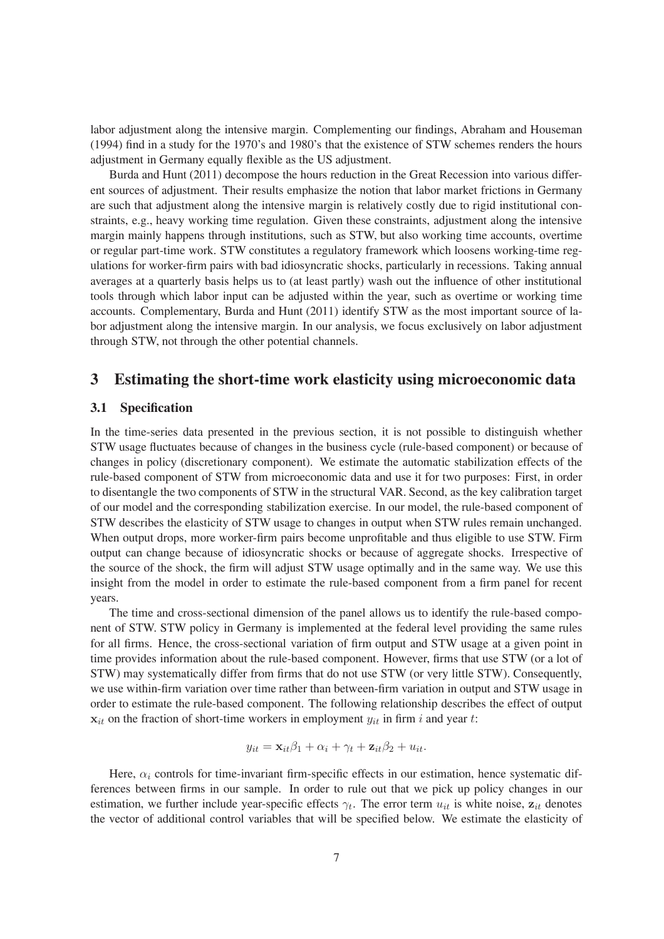labor adjustment along the intensive margin. Complementing our findings, Abraham and Houseman (1994) find in a study for the 1970's and 1980's that the existence of STW schemes renders the hours adjustment in Germany equally flexible as the US adjustment.

Burda and Hunt (2011) decompose the hours reduction in the Great Recession into various different sources of adjustment. Their results emphasize the notion that labor market frictions in Germany are such that adjustment along the intensive margin is relatively costly due to rigid institutional constraints, e.g., heavy working time regulation. Given these constraints, adjustment along the intensive margin mainly happens through institutions, such as STW, but also working time accounts, overtime or regular part-time work. STW constitutes a regulatory framework which loosens working-time regulations for worker-firm pairs with bad idiosyncratic shocks, particularly in recessions. Taking annual averages at a quarterly basis helps us to (at least partly) wash out the influence of other institutional tools through which labor input can be adjusted within the year, such as overtime or working time accounts. Complementary, Burda and Hunt (2011) identify STW as the most important source of labor adjustment along the intensive margin. In our analysis, we focus exclusively on labor adjustment through STW, not through the other potential channels.

### **3 Estimating the short-time work elasticity using microeconomic data**

#### **3.1 Specification**

In the time-series data presented in the previous section, it is not possible to distinguish whether STW usage fluctuates because of changes in the business cycle (rule-based component) or because of changes in policy (discretionary component). We estimate the automatic stabilization effects of the rule-based component of STW from microeconomic data and use it for two purposes: First, in order to disentangle the two components of STW in the structural VAR. Second, as the key calibration target of our model and the corresponding stabilization exercise. In our model, the rule-based component of STW describes the elasticity of STW usage to changes in output when STW rules remain unchanged. When output drops, more worker-firm pairs become unprofitable and thus eligible to use STW. Firm output can change because of idiosyncratic shocks or because of aggregate shocks. Irrespective of the source of the shock, the firm will adjust STW usage optimally and in the same way. We use this insight from the model in order to estimate the rule-based component from a firm panel for recent years.

The time and cross-sectional dimension of the panel allows us to identify the rule-based component of STW. STW policy in Germany is implemented at the federal level providing the same rules for all firms. Hence, the cross-sectional variation of firm output and STW usage at a given point in time provides information about the rule-based component. However, firms that use STW (or a lot of STW) may systematically differ from firms that do not use STW (or very little STW). Consequently, we use within-firm variation over time rather than between-firm variation in output and STW usage in order to estimate the rule-based component. The following relationship describes the effect of output  $x_{it}$  on the fraction of short-time workers in employment  $y_{it}$  in firm i and year t:

$$
y_{it} = \mathbf{x}_{it} \beta_1 + \alpha_i + \gamma_t + \mathbf{z}_{it} \beta_2 + u_{it}.
$$

Here,  $\alpha_i$  controls for time-invariant firm-specific effects in our estimation, hence systematic differences between firms in our sample. In order to rule out that we pick up policy changes in our estimation, we further include year-specific effects  $\gamma_t$ . The error term  $u_{it}$  is white noise,  $z_{it}$  denotes the vector of additional control variables that will be specified below. We estimate the elasticity of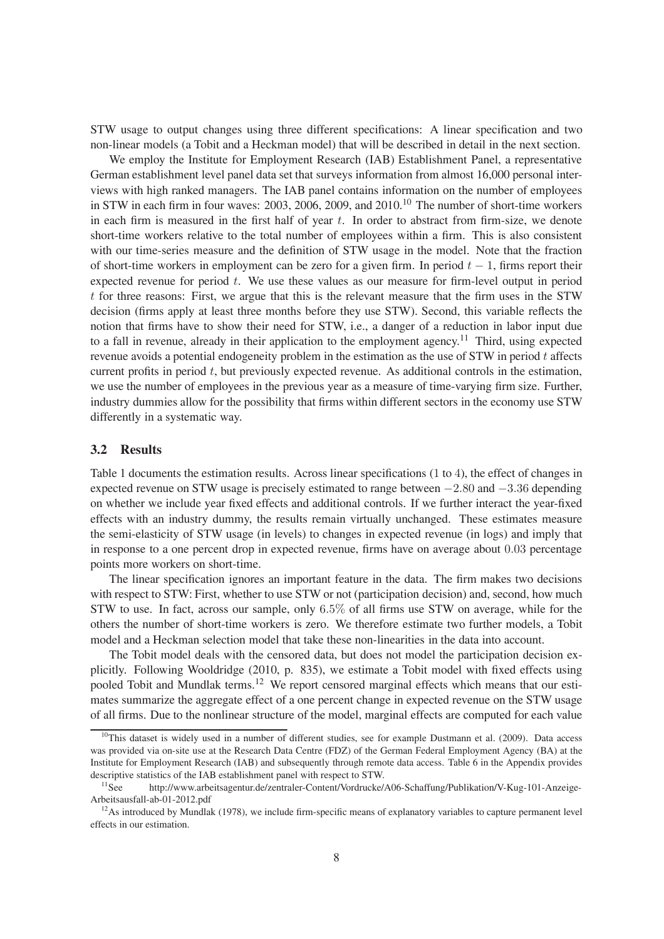STW usage to output changes using three different specifications: A linear specification and two non-linear models (a Tobit and a Heckman model) that will be described in detail in the next section.

We employ the Institute for Employment Research (IAB) Establishment Panel, a representative German establishment level panel data set that surveys information from almost 16,000 personal interviews with high ranked managers. The IAB panel contains information on the number of employees in STW in each firm in four waves:  $2003$ ,  $2006$ ,  $2009$ , and  $2010$ .<sup>10</sup> The number of short-time workers in each firm is measured in the first half of year  $t$ . In order to abstract from firm-size, we denote short-time workers relative to the total number of employees within a firm. This is also consistent with our time-series measure and the definition of STW usage in the model. Note that the fraction of short-time workers in employment can be zero for a given firm. In period  $t - 1$ , firms report their expected revenue for period  $t$ . We use these values as our measure for firm-level output in period  $t$  for three reasons: First, we argue that this is the relevant measure that the firm uses in the STW decision (firms apply at least three months before they use STW). Second, this variable reflects the notion that firms have to show their need for STW, i.e., a danger of a reduction in labor input due to a fall in revenue, already in their application to the employment agency.<sup>11</sup> Third, using expected revenue avoids a potential endogeneity problem in the estimation as the use of STW in period  $t$  affects current profits in period  $t$ , but previously expected revenue. As additional controls in the estimation, we use the number of employees in the previous year as a measure of time-varying firm size. Further, industry dummies allow for the possibility that firms within different sectors in the economy use STW differently in a systematic way.

#### **3.2 Results**

Table 1 documents the estimation results. Across linear specifications  $(1 \text{ to } 4)$ , the effect of changes in expected revenue on STW usage is precisely estimated to range between −2.80 and −3.36 depending on whether we include year fixed effects and additional controls. If we further interact the year-fixed effects with an industry dummy, the results remain virtually unchanged. These estimates measure the semi-elasticity of STW usage (in levels) to changes in expected revenue (in logs) and imply that in response to a one percent drop in expected revenue, firms have on average about  $0.03$  percentage points more workers on short-time.

The linear specification ignores an important feature in the data. The firm makes two decisions with respect to STW: First, whether to use STW or not (participation decision) and, second, how much STW to use. In fact, across our sample, only  $6.5\%$  of all firms use STW on average, while for the others the number of short-time workers is zero. We therefore estimate two further models, a Tobit model and a Heckman selection model that take these non-linearities in the data into account.

The Tobit model deals with the censored data, but does not model the participation decision explicitly. Following Wooldridge (2010, p. 835), we estimate a Tobit model with fixed effects using pooled Tobit and Mundlak terms.<sup>12</sup> We report censored marginal effects which means that our estimates summarize the aggregate effect of a one percent change in expected revenue on the STW usage of all firms. Due to the nonlinear structure of the model, marginal effects are computed for each value

<sup>&</sup>lt;sup>10</sup>This dataset is widely used in a number of different studies, see for example Dustmann et al. (2009). Data access was provided via on-site use at the Research Data Centre (FDZ) of the German Federal Employment Agency (BA) at the Institute for Employment Research (IAB) and subsequently through remote data access. Table 6 in the Appendix provides descriptive statistics of the IAB establishment panel with respect to STW.<br><sup>11</sup>See http://www.arbeitsagentur.de/zentraler-Content/Vordrucke/.

http://www.arbeitsagentur.de/zentraler-Content/Vordrucke/A06-Schaffung/Publikation/V-Kug-101-Anzeige-Arbeitsausfall-ab-01-2012.pdf

 $12$ As introduced by Mundlak (1978), we include firm-specific means of explanatory variables to capture permanent level effects in our estimation.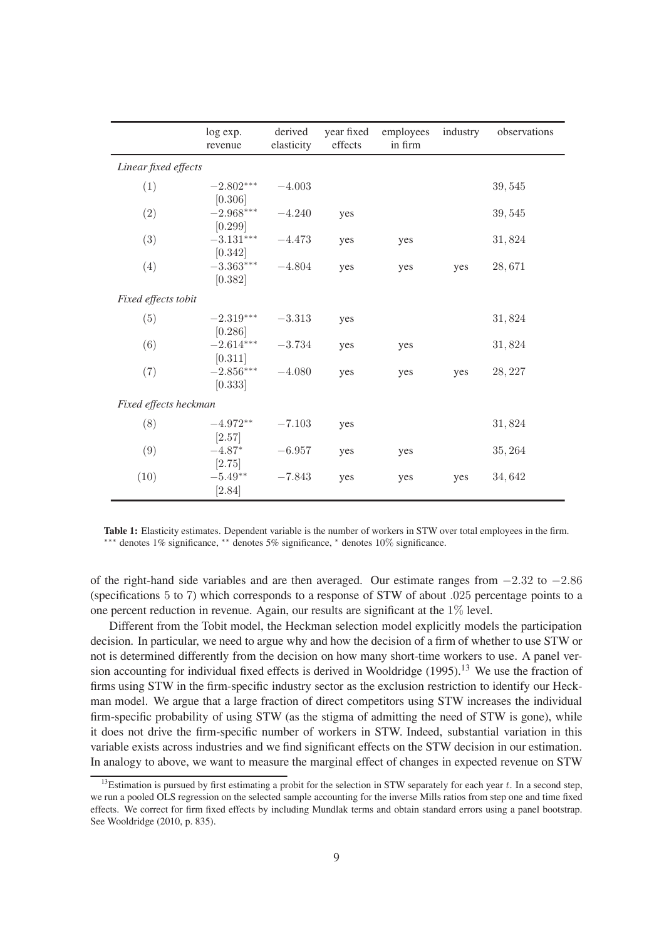|                       | log exp.<br>revenue           | derived<br>elasticity | year fixed<br>effects | employees<br>in firm | industry | observations |
|-----------------------|-------------------------------|-----------------------|-----------------------|----------------------|----------|--------------|
| Linear fixed effects  |                               |                       |                       |                      |          |              |
| (1)                   | $-2.802***$                   | $-4.003$              |                       |                      |          | 39,545       |
| (2)                   | [0.306]<br>$-2.968***$        | $-4.240$              | yes                   |                      |          | 39,545       |
| (3)                   | [0.299]<br>$-3.131***$        | $-4.473$              | yes                   | yes                  |          | 31,824       |
| (4)                   | [0.342]<br>$-3.363***$        | $-4.804$              | yes                   | yes                  | yes      | 28,671       |
| Fixed effects tobit   | [0.382]                       |                       |                       |                      |          |              |
| (5)                   | $-2.319***$<br>[0.286]        | $-3.313$              | yes                   |                      |          | 31,824       |
| (6)                   | $-2.614***$<br>[0.311]        | $-3.734$              | yes                   | yes                  |          | 31,824       |
| (7)                   | $-2.856***$<br>[0.333]        | $-4.080$              | yes                   | yes                  | yes      | 28, 227      |
| Fixed effects heckman |                               |                       |                       |                      |          |              |
| (8)                   | $-4.972**$                    | $-7.103$              | yes                   |                      |          | 31,824       |
| (9)                   | [2.57]<br>$-4.87*$            | $-6.957$              | yes                   | yes                  |          | 35, 264      |
| (10)                  | [2.75]<br>$-5.49**$<br>[2.84] | $-7.843$              | yes                   | yes                  | yes      | 34,642       |

Table 1: Elasticity estimates. Dependent variable is the number of workers in STW over total employees in the firm. ∗∗∗ denotes 1% signicance, ∗∗ denotes 5% signicance, <sup>∗</sup> denotes 10% signicance.

of the right-hand side variables and are then averaged. Our estimate ranges from −2.32 to −2.86 (specifications  $5$  to  $7$ ) which corresponds to a response of STW of about .025 percentage points to a one percent reduction in revenue. Again, our results are significant at the  $1\%$  level.

Different from the Tobit model, the Heckman selection model explicitly models the participation decision. In particular, we need to argue why and how the decision of a firm of whether to use STW or not is determined differently from the decision on how many short-time workers to use. A panel version accounting for individual fixed effects is derived in Wooldridge (1995).<sup>13</sup> We use the fraction of firms using STW in the firm-specific industry sector as the exclusion restriction to identify our Heckman model. We argue that a large fraction of direct competitors using STW increases the individual firm-specific probability of using STW (as the stigma of admitting the need of STW is gone), while it does not drive the firm-specific number of workers in STW. Indeed, substantial variation in this variable exists across industries and we find significant effects on the STW decision in our estimation. In analogy to above, we want to measure the marginal effect of changes in expected revenue on STW

<sup>&</sup>lt;sup>13</sup>Estimation is pursued by first estimating a probit for the selection in STW separately for each year  $t$ . In a second step, we run a pooled OLS regression on the selected sample accounting for the inverse Mills ratios from step one and time fixed effects. We correct for firm fixed effects by including Mundlak terms and obtain standard errors using a panel bootstrap. See Wooldridge (2010, p. 835).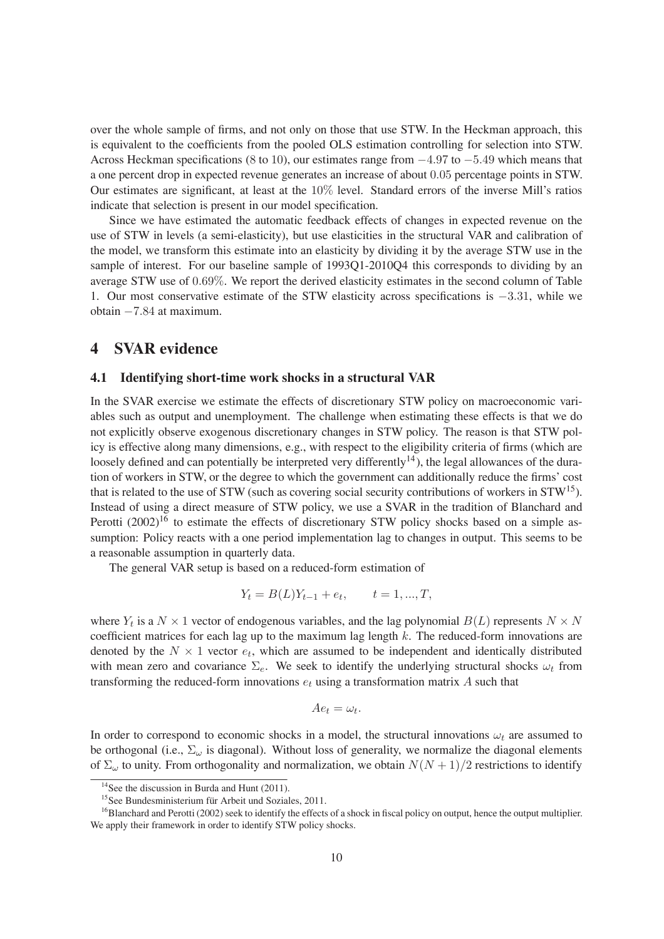over the whole sample of firms, and not only on those that use STW. In the Heckman approach, this is equivalent to the coefficients from the pooled OLS estimation controlling for selection into STW. Across Heckman specifications (8 to 10), our estimates range from  $-4.97$  to  $-5.49$  which means that a one percent drop in expected revenue generates an increase of about 0.05 percentage points in STW. Our estimates are signicant, at least at the 10% level. Standard errors of the inverse Mill's ratios indicate that selection is present in our model specification.

Since we have estimated the automatic feedback effects of changes in expected revenue on the use of STW in levels (a semi-elasticity), but use elasticities in the structural VAR and calibration of the model, we transform this estimate into an elasticity by dividing it by the average STW use in the sample of interest. For our baseline sample of 1993Q1-2010Q4 this corresponds to dividing by an average STW use of 0.69%. We report the derived elasticity estimates in the second column of Table 1. Our most conservative estimate of the STW elasticity across specifications is −3.31, while we obtain −7.84 at maximum.

### **4 SVAR evidence**

#### **4.1 Identifying short-time work shocks in a structural VAR**

In the SVAR exercise we estimate the effects of discretionary STW policy on macroeconomic variables such as output and unemployment. The challenge when estimating these effects is that we do not explicitly observe exogenous discretionary changes in STW policy. The reason is that STW policy is effective along many dimensions, e.g., with respect to the eligibility criteria of firms (which are loosely defined and can potentially be interpreted very differently<sup>14</sup>), the legal allowances of the duration of workers in STW, or the degree to which the government can additionally reduce the firms' cost that is related to the use of STW (such as covering social security contributions of workers in  $STW^{15}$ ). Instead of using a direct measure of STW policy, we use a SVAR in the tradition of Blanchard and Perotti (2002)<sup>16</sup> to estimate the effects of discretionary STW policy shocks based on a simple assumption: Policy reacts with a one period implementation lag to changes in output. This seems to be a reasonable assumption in quarterly data.

The general VAR setup is based on a reduced-form estimation of

$$
Y_t = B(L)Y_{t-1} + e_t, \qquad t = 1, ..., T,
$$

where  $Y_t$  is a  $N \times 1$  vector of endogenous variables, and the lag polynomial  $B(L)$  represents  $N \times N$ coefficient matrices for each lag up to the maximum lag length  $k$ . The reduced-form innovations are denoted by the  $N \times 1$  vector  $e_t$ , which are assumed to be independent and identically distributed with mean zero and covariance  $\Sigma_e$ . We seek to identify the underlying structural shocks  $\omega_t$  from transforming the reduced-form innovations  $e_t$  using a transformation matrix A such that

$$
Ae_t = \omega_t.
$$

In order to correspond to economic shocks in a model, the structural innovations  $\omega_t$  are assumed to be orthogonal (i.e.,  $\Sigma_{\omega}$  is diagonal). Without loss of generality, we normalize the diagonal elements of  $\Sigma_{\omega}$  to unity. From orthogonality and normalization, we obtain  $N(N+1)/2$  restrictions to identify

<sup>&</sup>lt;sup>14</sup>See the discussion in Burda and Hunt (2011).

<sup>15</sup>See Bundesministerium für Arbeit und Soziales, 2011.

<sup>&</sup>lt;sup>16</sup>Blanchard and Perotti (2002) seek to identify the effects of a shock in fiscal policy on output, hence the output multiplier. We apply their framework in order to identify STW policy shocks.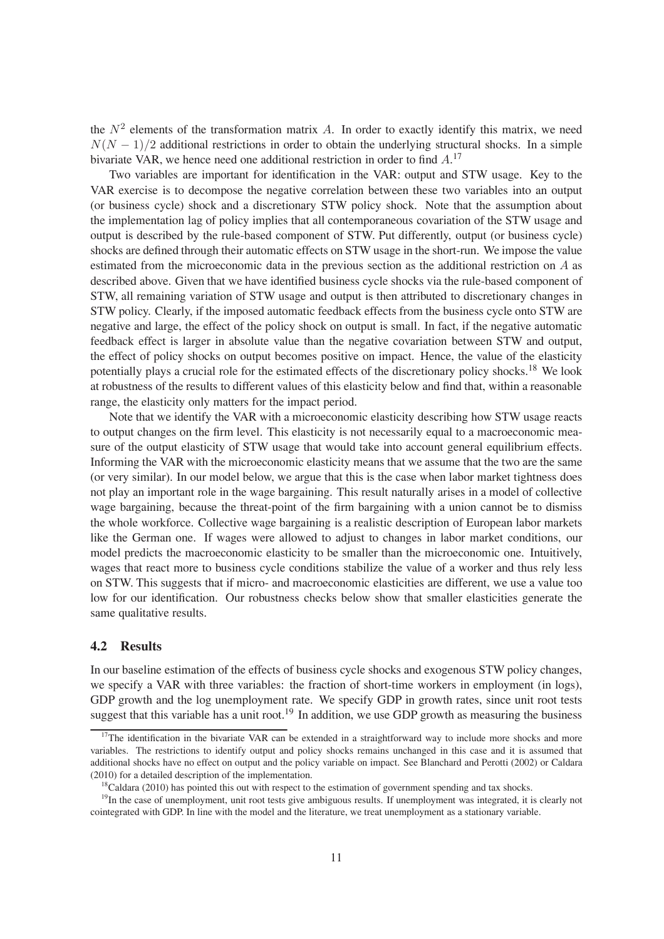the  $N^2$  elements of the transformation matrix A. In order to exactly identify this matrix, we need  $N(N-1)/2$  additional restrictions in order to obtain the underlying structural shocks. In a simple bivariate VAR, we hence need one additional restriction in order to find  $A$ .<sup>17</sup>

Two variables are important for identification in the VAR: output and STW usage. Key to the VAR exercise is to decompose the negative correlation between these two variables into an output (or business cycle) shock and a discretionary STW policy shock. Note that the assumption about the implementation lag of policy implies that all contemporaneous covariation of the STW usage and output is described by the rule-based component of STW. Put differently, output (or business cycle) shocks are defined through their automatic effects on STW usage in the short-run. We impose the value estimated from the microeconomic data in the previous section as the additional restriction on A as described above. Given that we have identified business cycle shocks via the rule-based component of STW, all remaining variation of STW usage and output is then attributed to discretionary changes in STW policy. Clearly, if the imposed automatic feedback effects from the business cycle onto STW are negative and large, the effect of the policy shock on output is small. In fact, if the negative automatic feedback effect is larger in absolute value than the negative covariation between STW and output, the effect of policy shocks on output becomes positive on impact. Hence, the value of the elasticity potentially plays a crucial role for the estimated effects of the discretionary policy shocks.<sup>18</sup> We look at robustness of the results to different values of this elasticity below and find that, within a reasonable range, the elasticity only matters for the impact period.

Note that we identify the VAR with a microeconomic elasticity describing how STW usage reacts to output changes on the firm level. This elasticity is not necessarily equal to a macroeconomic measure of the output elasticity of STW usage that would take into account general equilibrium effects. Informing the VAR with the microeconomic elasticity means that we assume that the two are the same (or very similar). In our model below, we argue that this is the case when labor market tightness does not play an important role in the wage bargaining. This result naturally arises in a model of collective wage bargaining, because the threat-point of the firm bargaining with a union cannot be to dismiss the whole workforce. Collective wage bargaining is a realistic description of European labor markets like the German one. If wages were allowed to adjust to changes in labor market conditions, our model predicts the macroeconomic elasticity to be smaller than the microeconomic one. Intuitively, wages that react more to business cycle conditions stabilize the value of a worker and thus rely less on STW. This suggests that if micro- and macroeconomic elasticities are different, we use a value too low for our identification. Our robustness checks below show that smaller elasticities generate the same qualitative results.

#### **4.2 Results**

In our baseline estimation of the effects of business cycle shocks and exogenous STW policy changes, we specify a VAR with three variables: the fraction of short-time workers in employment (in logs), GDP growth and the log unemployment rate. We specify GDP in growth rates, since unit root tests suggest that this variable has a unit root.<sup>19</sup> In addition, we use GDP growth as measuring the business

<sup>&</sup>lt;sup>17</sup>The identification in the bivariate VAR can be extended in a straightforward way to include more shocks and more variables. The restrictions to identify output and policy shocks remains unchanged in this case and it is assumed that additional shocks have no effect on output and the policy variable on impact. See Blanchard and Perotti (2002) or Caldara (2010) for a detailed description of the implementation.

<sup>&</sup>lt;sup>18</sup>Caldara (2010) has pointed this out with respect to the estimation of government spending and tax shocks.

<sup>&</sup>lt;sup>19</sup>In the case of unemployment, unit root tests give ambiguous results. If unemployment was integrated, it is clearly not cointegrated with GDP. In line with the model and the literature, we treat unemployment as a stationary variable.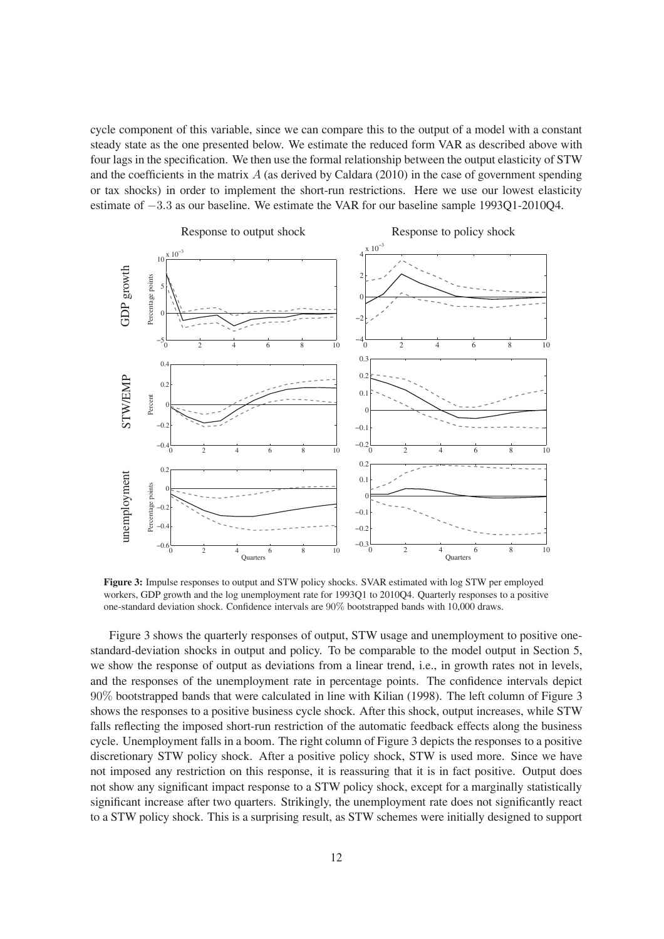cycle component of this variable, since we can compare this to the output of a model with a constant steady state as the one presented below. We estimate the reduced form VAR as described above with four lags in the specification. We then use the formal relationship between the output elasticity of STW and the coefficients in the matrix  $A$  (as derived by Caldara (2010) in the case of government spending or tax shocks) in order to implement the short-run restrictions. Here we use our lowest elasticity estimate of −3.3 as our baseline. We estimate the VAR for our baseline sample 1993Q1-2010Q4.



**Figure 3:** Impulse responses to output and STW policy shocks. SVAR estimated with log STW per employed workers, GDP growth and the log unemployment rate for 1993Q1 to 2010Q4. Quarterly responses to a positive one-standard deviation shock. Confidence intervals are  $90\%$  bootstrapped bands with 10,000 draws.

Figure 3 shows the quarterly responses of output, STW usage and unemployment to positive onestandard-deviation shocks in output and policy. To be comparable to the model output in Section 5, we show the response of output as deviations from a linear trend, i.e., in growth rates not in levels, and the responses of the unemployment rate in percentage points. The condence intervals depict 90% bootstrapped bands that were calculated in line with Kilian (1998). The left column of Figure 3 shows the responses to a positive business cycle shock. After this shock, output increases, while STW falls reflecting the imposed short-run restriction of the automatic feedback effects along the business cycle. Unemployment falls in a boom. The right column of Figure 3 depicts the responses to a positive discretionary STW policy shock. After a positive policy shock, STW is used more. Since we have not imposed any restriction on this response, it is reassuring that it is in fact positive. Output does not show any signicant impact response to a STW policy shock, except for a marginally statistically significant increase after two quarters. Strikingly, the unemployment rate does not significantly react to a STW policy shock. This is a surprising result, as STW schemes were initially designed to support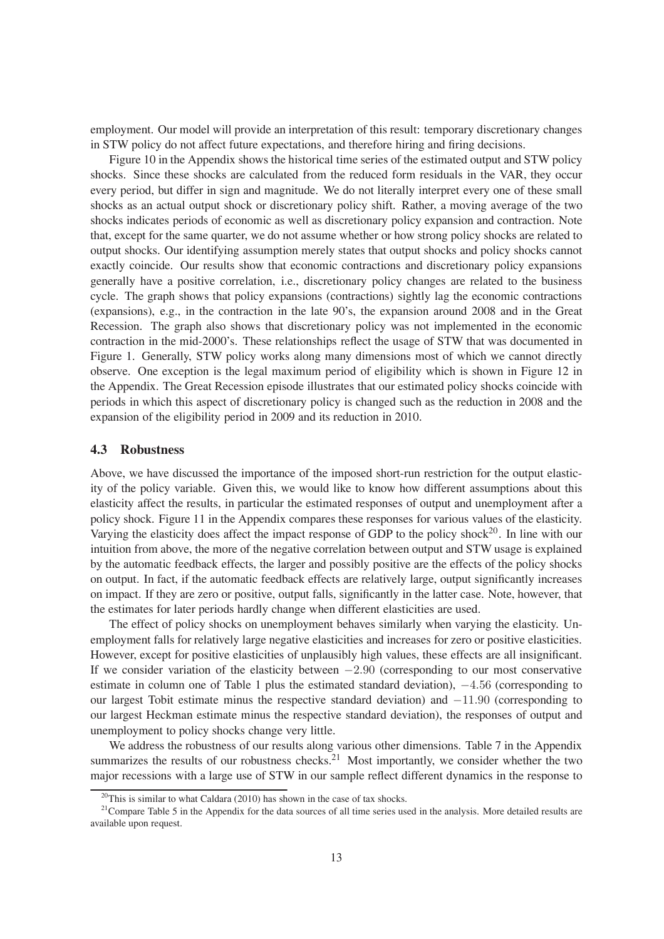employment. Our model will provide an interpretation of this result: temporary discretionary changes in STW policy do not affect future expectations, and therefore hiring and firing decisions.

Figure 10 in the Appendix shows the historical time series of the estimated output and STW policy shocks. Since these shocks are calculated from the reduced form residuals in the VAR, they occur every period, but differ in sign and magnitude. We do not literally interpret every one of these small shocks as an actual output shock or discretionary policy shift. Rather, a moving average of the two shocks indicates periods of economic as well as discretionary policy expansion and contraction. Note that, except for the same quarter, we do not assume whether or how strong policy shocks are related to output shocks. Our identifying assumption merely states that output shocks and policy shocks cannot exactly coincide. Our results show that economic contractions and discretionary policy expansions generally have a positive correlation, i.e., discretionary policy changes are related to the business cycle. The graph shows that policy expansions (contractions) sightly lag the economic contractions (expansions), e.g., in the contraction in the late 90's, the expansion around 2008 and in the Great Recession. The graph also shows that discretionary policy was not implemented in the economic contraction in the mid-2000's. These relationships reflect the usage of STW that was documented in Figure 1. Generally, STW policy works along many dimensions most of which we cannot directly observe. One exception is the legal maximum period of eligibility which is shown in Figure 12 in the Appendix. The Great Recession episode illustrates that our estimated policy shocks coincide with periods in which this aspect of discretionary policy is changed such as the reduction in 2008 and the expansion of the eligibility period in 2009 and its reduction in 2010.

#### **4.3 Robustness**

Above, we have discussed the importance of the imposed short-run restriction for the output elasticity of the policy variable. Given this, we would like to know how different assumptions about this elasticity affect the results, in particular the estimated responses of output and unemployment after a policy shock. Figure 11 in the Appendix compares these responses for various values of the elasticity. Varying the elasticity does affect the impact response of GDP to the policy shock<sup>20</sup>. In line with our intuition from above, the more of the negative correlation between output and STW usage is explained by the automatic feedback effects, the larger and possibly positive are the effects of the policy shocks on output. In fact, if the automatic feedback effects are relatively large, output significantly increases on impact. If they are zero or positive, output falls, signicantly in the latter case. Note, however, that the estimates for later periods hardly change when different elasticities are used.

The effect of policy shocks on unemployment behaves similarly when varying the elasticity. Unemployment falls for relatively large negative elasticities and increases for zero or positive elasticities. However, except for positive elasticities of unplausibly high values, these effects are all insignicant. If we consider variation of the elasticity between  $-2.90$  (corresponding to our most conservative estimate in column one of Table 1 plus the estimated standard deviation), −4.56 (corresponding to our largest Tobit estimate minus the respective standard deviation) and −11.90 (corresponding to our largest Heckman estimate minus the respective standard deviation), the responses of output and unemployment to policy shocks change very little.

We address the robustness of our results along various other dimensions. Table 7 in the Appendix summarizes the results of our robustness checks.<sup>21</sup> Most importantly, we consider whether the two major recessions with a large use of STW in our sample reflect different dynamics in the response to

<sup>&</sup>lt;sup>20</sup>This is similar to what Caldara (2010) has shown in the case of tax shocks.

 $21$ Compare Table 5 in the Appendix for the data sources of all time series used in the analysis. More detailed results are available upon request.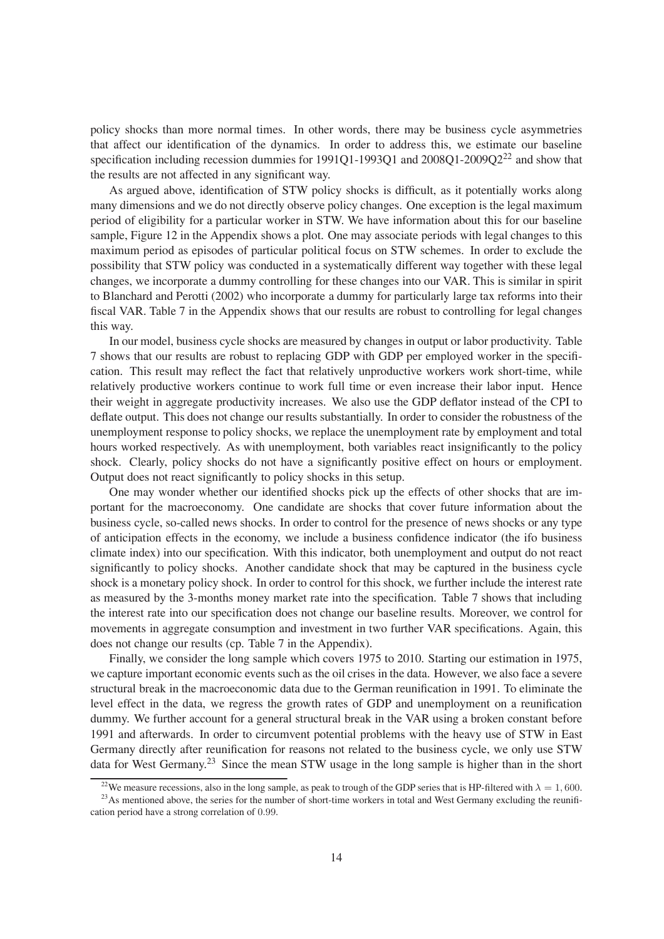policy shocks than more normal times. In other words, there may be business cycle asymmetries that affect our identification of the dynamics. In order to address this, we estimate our baseline specification including recession dummies for  $1991Q1-1993Q1$  and  $2008Q1-2009Q2^{22}$  and show that the results are not affected in any signicant way.

As argued above, identification of STW policy shocks is difficult, as it potentially works along many dimensions and we do not directly observe policy changes. One exception is the legal maximum period of eligibility for a particular worker in STW. We have information about this for our baseline sample, Figure 12 in the Appendix shows a plot. One may associate periods with legal changes to this maximum period as episodes of particular political focus on STW schemes. In order to exclude the possibility that STW policy was conducted in a systematically different way together with these legal changes, we incorporate a dummy controlling for these changes into our VAR. This is similar in spirit to Blanchard and Perotti (2002) who incorporate a dummy for particularly large tax reforms into their fiscal VAR. Table 7 in the Appendix shows that our results are robust to controlling for legal changes this way.

In our model, business cycle shocks are measured by changes in output or labor productivity. Table 7 shows that our results are robust to replacing GDP with GDP per employed worker in the speci cation. This result may reflect the fact that relatively unproductive workers work short-time, while relatively productive workers continue to work full time or even increase their labor input. Hence their weight in aggregate productivity increases. We also use the GDP deflator instead of the CPI to de flate output. This does not change our results substantially. In order to consider the robustness of the unemployment response to policy shocks, we replace the unemployment rate by employment and total hours worked respectively. As with unemployment, both variables react insignificantly to the policy shock. Clearly, policy shocks do not have a signicantly positive effect on hours or employment. Output does not react significantly to policy shocks in this setup.

One may wonder whether our identified shocks pick up the effects of other shocks that are important for the macroeconomy. One candidate are shocks that cover future information about the business cycle, so-called news shocks. In order to control for the presence of news shocks or any type of anticipation effects in the economy, we include a business condence indicator (the ifo business climate index) into our specification. With this indicator, both unemployment and output do not react significantly to policy shocks. Another candidate shock that may be captured in the business cycle shock is a monetary policy shock. In order to control for this shock, we further include the interest rate as measured by the 3-months money market rate into the specification. Table 7 shows that including the interest rate into our specification does not change our baseline results. Moreover, we control for movements in aggregate consumption and investment in two further VAR specifications. Again, this does not change our results (cp. Table 7 in the Appendix).

Finally, we consider the long sample which covers 1975 to 2010. Starting our estimation in 1975, we capture important economic events such as the oil crises in the data. However, we also face a severe structural break in the macroeconomic data due to the German reunification in 1991. To eliminate the level effect in the data, we regress the growth rates of GDP and unemployment on a reunication dummy. We further account for a general structural break in the VAR using a broken constant before 1991 and afterwards. In order to circumvent potential problems with the heavy use of STW in East Germany directly after reunification for reasons not related to the business cycle, we only use STW data for West Germany.<sup>23</sup> Since the mean STW usage in the long sample is higher than in the short

<sup>&</sup>lt;sup>22</sup>We measure recessions, also in the long sample, as peak to trough of the GDP series that is HP-filtered with  $\lambda = 1,600$ .

<sup>&</sup>lt;sup>23</sup>As mentioned above, the series for the number of short-time workers in total and West Germany excluding the reunification period have a strong correlation of 0.99.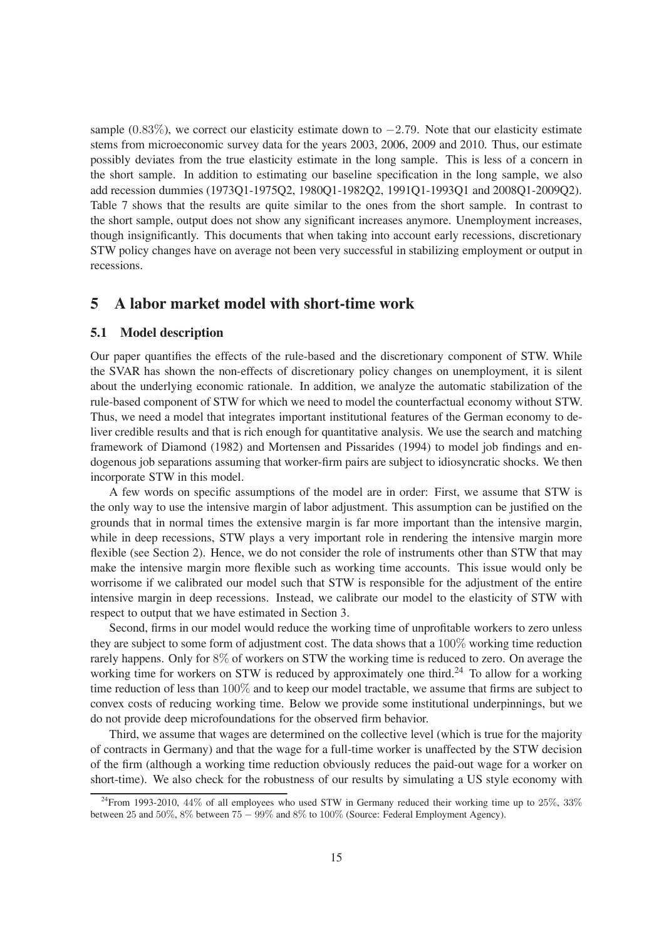sample (0.83%), we correct our elasticity estimate down to  $-2.79$ . Note that our elasticity estimate stems from microeconomic survey data for the years 2003, 2006, 2009 and 2010. Thus, our estimate possibly deviates from the true elasticity estimate in the long sample. This is less of a concern in the short sample. In addition to estimating our baseline specification in the long sample, we also add recession dummies (1973Q1-1975Q2, 1980Q1-1982Q2, 1991Q1-1993Q1 and 2008Q1-2009Q2). Table 7 shows that the results are quite similar to the ones from the short sample. In contrast to the short sample, output does not show any significant increases anymore. Unemployment increases, though insignicantly. This documents that when taking into account early recessions, discretionary STW policy changes have on average not been very successful in stabilizing employment or output in recessions.

### **5 A labor market model with short-time work**

#### **5.1 Model description**

Our paper quantifies the effects of the rule-based and the discretionary component of STW. While the SVAR has shown the non-effects of discretionary policy changes on unemployment, it is silent about the underlying economic rationale. In addition, we analyze the automatic stabilization of the rule-based component of STW for which we need to model the counterfactual economy without STW. Thus, we need a model that integrates important institutional features of the German economy to deliver credible results and that is rich enough for quantitative analysis. We use the search and matching framework of Diamond (1982) and Mortensen and Pissarides (1994) to model job findings and endogenous job separations assuming that worker-firm pairs are subject to idiosyncratic shocks. We then incorporate STW in this model.

A few words on specific assumptions of the model are in order: First, we assume that STW is the only way to use the intensive margin of labor adjustment. This assumption can be justified on the grounds that in normal times the extensive margin is far more important than the intensive margin, while in deep recessions, STW plays a very important role in rendering the intensive margin more flexible (see Section 2). Hence, we do not consider the role of instruments other than STW that may make the intensive margin more flexible such as working time accounts. This issue would only be worrisome if we calibrated our model such that STW is responsible for the adjustment of the entire intensive margin in deep recessions. Instead, we calibrate our model to the elasticity of STW with respect to output that we have estimated in Section 3.

Second, firms in our model would reduce the working time of unprofitable workers to zero unless they are subject to some form of adjustment cost. The data shows that a 100% working time reduction rarely happens. Only for 8% of workers on STW the working time is reduced to zero. On average the working time for workers on STW is reduced by approximately one third.<sup>24</sup> To allow for a working time reduction of less than  $100\%$  and to keep our model tractable, we assume that firms are subject to convex costs of reducing working time. Below we provide some institutional underpinnings, but we do not provide deep microfoundations for the observed firm behavior.

Third, we assume that wages are determined on the collective level (which is true for the majority of contracts in Germany) and that the wage for a full-time worker is unaffected by the STW decision of the rm (although a working time reduction obviously reduces the paid-out wage for a worker on short-time). We also check for the robustness of our results by simulating a US style economy with

 $^{24}$ From 1993-2010, 44% of all employees who used STW in Germany reduced their working time up to 25%, 33% between 25 and 50%, 8% between 75 − 99% and 8% to 100% (Source: Federal Employment Agency).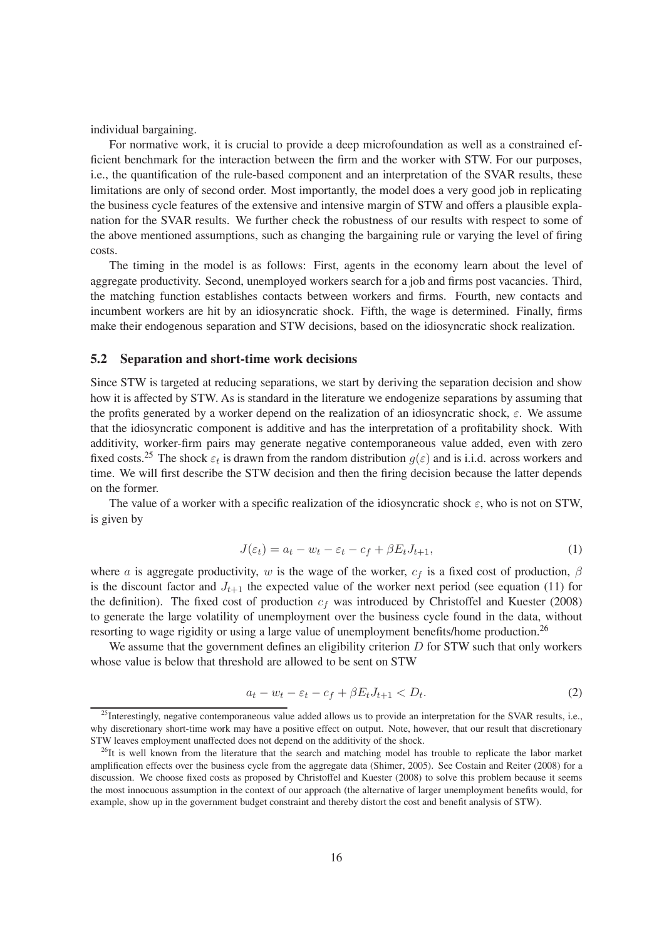individual bargaining.

For normative work, it is crucial to provide a deep microfoundation as well as a constrained ef ficient benchmark for the interaction between the firm and the worker with STW. For our purposes, i.e., the quantification of the rule-based component and an interpretation of the SVAR results, these limitations are only of second order. Most importantly, the model does a very good job in replicating the business cycle features of the extensive and intensive margin of STW and offers a plausible explanation for the SVAR results. We further check the robustness of our results with respect to some of the above mentioned assumptions, such as changing the bargaining rule or varying the level of firing costs.

The timing in the model is as follows: First, agents in the economy learn about the level of aggregate productivity. Second, unemployed workers search for a job and firms post vacancies. Third, the matching function establishes contacts between workers and firms. Fourth, new contacts and incumbent workers are hit by an idiosyncratic shock. Fifth, the wage is determined. Finally, firms make their endogenous separation and STW decisions, based on the idiosyncratic shock realization.

#### **5.2 Separation and short-time work decisions**

Since STW is targeted at reducing separations, we start by deriving the separation decision and show how it is affected by STW. As is standard in the literature we endogenize separations by assuming that the profits generated by a worker depend on the realization of an idiosyncratic shock,  $\varepsilon$ . We assume that the idiosyncratic component is additive and has the interpretation of a protability shock. With additivity, worker-firm pairs may generate negative contemporaneous value added, even with zero fixed costs.<sup>25</sup> The shock  $\varepsilon_t$  is drawn from the random distribution  $g(\varepsilon)$  and is i.i.d. across workers and time. We will first describe the STW decision and then the firing decision because the latter depends on the former.

The value of a worker with a specific realization of the idiosyncratic shock  $\varepsilon$ , who is not on STW, is given by

$$
J(\varepsilon_t) = a_t - w_t - \varepsilon_t - c_f + \beta E_t J_{t+1},\tag{1}
$$

where a is aggregate productivity, w is the wage of the worker,  $c_f$  is a fixed cost of production,  $\beta$ is the discount factor and  $J_{t+1}$  the expected value of the worker next period (see equation (11) for the definition). The fixed cost of production  $c_f$  was introduced by Christoffel and Kuester (2008) to generate the large volatility of unemployment over the business cycle found in the data, without resorting to wage rigidity or using a large value of unemployment benefits/home production.<sup>26</sup>

We assume that the government defines an eligibility criterion  $D$  for STW such that only workers whose value is below that threshold are allowed to be sent on STW

$$
a_t - w_t - \varepsilon_t - c_f + \beta E_t J_{t+1} < D_t. \tag{2}
$$

<sup>&</sup>lt;sup>25</sup>Interestingly, negative contemporaneous value added allows us to provide an interpretation for the SVAR results, i.e., why discretionary short-time work may have a positive effect on output. Note, however, that our result that discretionary STW leaves employment unaffected does not depend on the additivity of the shock.

 $^{26}$ It is well known from the literature that the search and matching model has trouble to replicate the labor market amplication effects over the business cycle from the aggregate data (Shimer, 2005). See Costain and Reiter (2008) for a discussion. We choose fixed costs as proposed by Christoffel and Kuester (2008) to solve this problem because it seems the most innocuous assumption in the context of our approach (the alternative of larger unemployment benefits would, for example, show up in the government budget constraint and thereby distort the cost and benefit analysis of STW).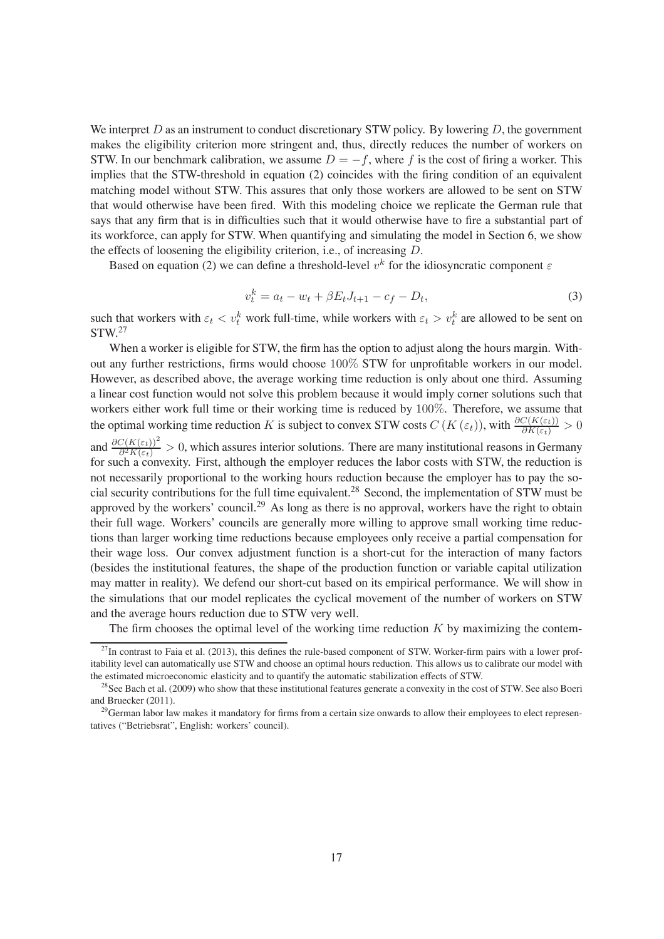We interpret  $D$  as an instrument to conduct discretionary STW policy. By lowering  $D$ , the government makes the eligibility criterion more stringent and, thus, directly reduces the number of workers on STW. In our benchmark calibration, we assume  $D = -f$ , where f is the cost of firing a worker. This implies that the STW-threshold in equation (2) coincides with the firing condition of an equivalent matching model without STW. This assures that only those workers are allowed to be sent on STW that would otherwise have been fired. With this modeling choice we replicate the German rule that says that any firm that is in difficulties such that it would otherwise have to fire a substantial part of its workforce, can apply for STW. When quantifying and simulating the model in Section 6, we show the effects of loosening the eligibility criterion, i.e., of increasing D.

Based on equation (2) we can define a threshold-level  $v^k$  for the idiosyncratic component  $\varepsilon$ 

$$
v_t^k = a_t - w_t + \beta E_t J_{t+1} - c_f - D_t,\tag{3}
$$

such that workers with  $\varepsilon_t < v_t^k$  work full-time, while workers with  $\varepsilon_t > v_t^k$  are allowed to be sent on  $STW<sup>27</sup>$ 

When a worker is eligible for STW, the firm has the option to adjust along the hours margin. Without any further restrictions, firms would choose 100% STW for unprofitable workers in our model. However, as described above, the average working time reduction is only about one third. Assuming a linear cost function would not solve this problem because it would imply corner solutions such that workers either work full time or their working time is reduced by 100%. Therefore, we assume that the optimal working time reduction K is subject to convex STW costs  $C(K(\varepsilon_t))$ , with  $\frac{\partial C(K(\varepsilon_t))}{\partial K(\varepsilon_t)} > 0$ and  $\frac{\partial C(K(\varepsilon_t))^2}{\partial^2 K(\varepsilon_t)} > 0$ , which assures interior solutions. There are many institutional reasons in Germany for such a convexity. First, although the employer reduces the labor costs with STW, the reduction is not necessarily proportional to the working hours reduction because the employer has to pay the social security contributions for the full time equivalent.<sup>28</sup> Second, the implementation of STW must be approved by the workers' council.<sup>29</sup> As long as there is no approval, workers have the right to obtain their full wage. Workers' councils are generally more willing to approve small working time reductions than larger working time reductions because employees only receive a partial compensation for their wage loss. Our convex adjustment function is a short-cut for the interaction of many factors (besides the institutional features, the shape of the production function or variable capital utilization may matter in reality). We defend our short-cut based on its empirical performance. We will show in the simulations that our model replicates the cyclical movement of the number of workers on STW and the average hours reduction due to STW very well.

The firm chooses the optimal level of the working time reduction  $K$  by maximizing the contem-

 $^{27}$ In contrast to Faia et al. (2013), this defines the rule-based component of STW. Worker-firm pairs with a lower profitability level can automatically use STW and choose an optimal hours reduction. This allows us to calibrate our model with the estimated microeconomic elasticity and to quantify the automatic stabilization effects of STW.

 $^{28}$ See Bach et al. (2009) who show that these institutional features generate a convexity in the cost of STW. See also Boeri and Bruecker (2011).

 $29$ German labor law makes it mandatory for firms from a certain size onwards to allow their employees to elect representatives ("Betriebsrat", English: workers' council).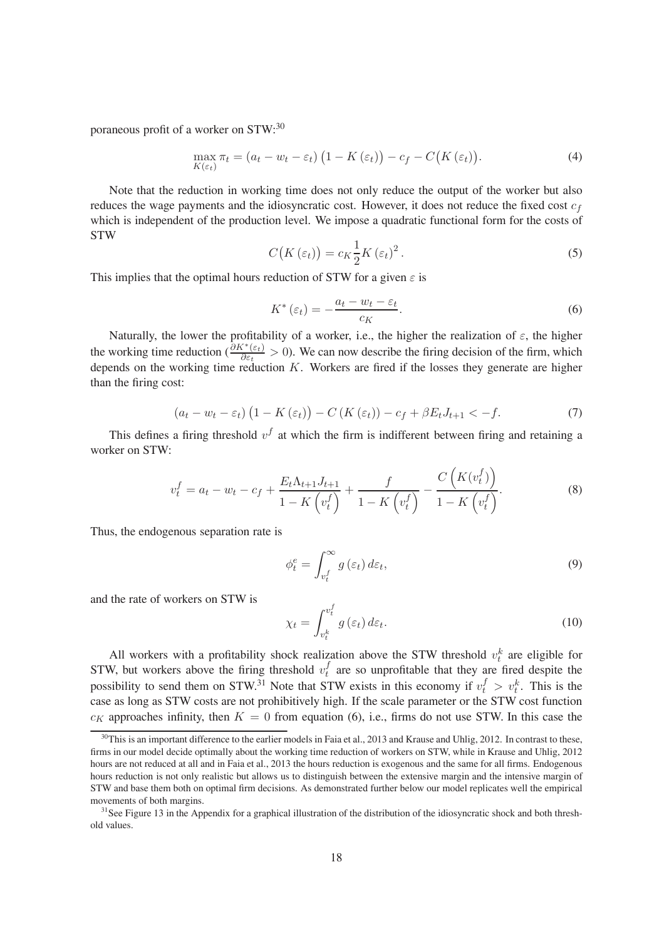poraneous profit of a worker on  $STW$ :<sup>30</sup>

$$
\max_{K(\varepsilon_t)} \pi_t = (a_t - w_t - \varepsilon_t) \left( 1 - K(\varepsilon_t) \right) - c_f - C\big(K(\varepsilon_t)\big). \tag{4}
$$

Note that the reduction in working time does not only reduce the output of the worker but also reduces the wage payments and the idiosyncratic cost. However, it does not reduce the fixed cost  $c_f$ which is independent of the production level. We impose a quadratic functional form for the costs of STW

$$
C\big(K\left(\varepsilon_{t}\right)\big)=c_{K}\frac{1}{2}K\left(\varepsilon_{t}\right)^{2}.
$$
\n(5)

This implies that the optimal hours reduction of STW for a given  $\varepsilon$  is

$$
K^*(\varepsilon_t) = -\frac{a_t - w_t - \varepsilon_t}{c_K}.
$$
\n<sup>(6)</sup>

Naturally, the lower the profitability of a worker, i.e., the higher the realization of  $\varepsilon$ , the higher the working time reduction  $\left(\frac{\partial K^*(\varepsilon_t)}{\partial \varepsilon_t}\right) > 0$ . We can now describe the firing decision of the firm, which depends on the working time reduction  $K$ . Workers are fired if the losses they generate are higher than the firing cost:

$$
\left(a_{t}-w_{t}-\varepsilon_{t}\right)\left(1-K\left(\varepsilon_{t}\right)\right)-C\left(K\left(\varepsilon_{t}\right)\right)-c_{f}+\beta E_{t}J_{t+1}<-f.\tag{7}
$$

This defines a firing threshold  $v<sup>f</sup>$  at which the firm is indifferent between firing and retaining a worker on STW:

$$
v_t^f = a_t - w_t - c_f + \frac{E_t \Lambda_{t+1} J_{t+1}}{1 - K \left(v_t^f\right)} + \frac{f}{1 - K \left(v_t^f\right)} - \frac{C \left(K(v_t^f)\right)}{1 - K \left(v_t^f\right)}.
$$
\n(8)

Thus, the endogenous separation rate is

$$
\phi_t^e = \int_{v_t^f}^{\infty} g\left(\varepsilon_t\right) d\varepsilon_t,\tag{9}
$$

and the rate of workers on STW is

$$
\chi_t = \int_{v_t^k}^{v_t^f} g\left(\varepsilon_t\right) d\varepsilon_t.
$$
\n(10)

All workers with a profitability shock realization above the STW threshold  $v_t^k$  are eligible for t STW, but workers above the firing threshold  $v_t^f$  $t_t$  are so unprofitable that they are fired despite the possibility to send them on STW.<sup>31</sup> Note that STW exists in this economy if  $v_t^f > v_t^k$ . This is the case as long as STW costs are not prohibitively high. If the scale parameter or the STW cost function  $c_K$  approaches infinity, then  $K = 0$  from equation (6), i.e., firms do not use STW. In this case the

 $30$ This is an important difference to the earlier models in Faia et al., 2013 and Krause and Uhlig, 2012. In contrast to these, firms in our model decide optimally about the working time reduction of workers on STW, while in Krause and Uhlig, 2012 hours are not reduced at all and in Faia et al., 2013 the hours reduction is exogenous and the same for all firms. Endogenous hours reduction is not only realistic but allows us to distinguish between the extensive margin and the intensive margin of STW and base them both on optimal firm decisions. As demonstrated further below our model replicates well the empirical movements of both margins.

<sup>&</sup>lt;sup>31</sup>See Figure 13 in the Appendix for a graphical illustration of the distribution of the idiosyncratic shock and both threshold values.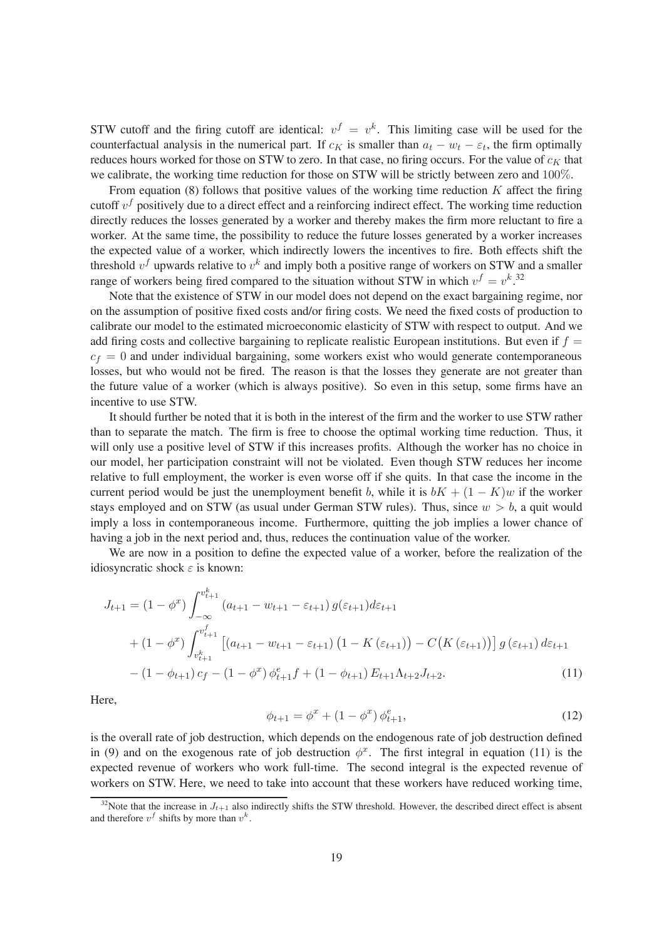STW cutoff and the firing cutoff are identical:  $v^f = v^k$ . This limiting case will be used for the counterfactual analysis in the numerical part. If  $c_K$  is smaller than  $a_t - w_t - \varepsilon_t$ , the firm optimally reduces hours worked for those on STW to zero. In that case, no firing occurs. For the value of  $c_K$  that we calibrate, the working time reduction for those on STW will be strictly between zero and 100%.

From equation (8) follows that positive values of the working time reduction  $K$  affect the firing cutoff  $v<sup>f</sup>$  positively due to a direct effect and a reinforcing indirect effect. The working time reduction directly reduces the losses generated by a worker and thereby makes the firm more reluctant to fire a worker. At the same time, the possibility to reduce the future losses generated by a worker increases the expected value of a worker, which indirectly lowers the incentives to fire. Both effects shift the threshold  $v<sup>f</sup>$  upwards relative to  $v<sup>k</sup>$  and imply both a positive range of workers on STW and a smaller range of workers being fired compared to the situation without STW in which  $v^f = v^k$ .<sup>32</sup>

Note that the existence of STW in our model does not depend on the exact bargaining regime, nor on the assumption of positive fixed costs and/or firing costs. We need the fixed costs of production to calibrate our model to the estimated microeconomic elasticity of STW with respect to output. And we add firing costs and collective bargaining to replicate realistic European institutions. But even if  $f =$  $c_f = 0$  and under individual bargaining, some workers exist who would generate contemporaneous losses, but who would not be fired. The reason is that the losses they generate are not greater than the future value of a worker (which is always positive). So even in this setup, some firms have an incentive to use STW.

It should further be noted that it is both in the interest of the firm and the worker to use STW rather than to separate the match. The firm is free to choose the optimal working time reduction. Thus, it will only use a positive level of STW if this increases profits. Although the worker has no choice in our model, her participation constraint will not be violated. Even though STW reduces her income relative to full employment, the worker is even worse off if she quits. In that case the income in the current period would be just the unemployment benefit b, while it is  $bK + (1 - K)w$  if the worker stays employed and on STW (as usual under German STW rules). Thus, since  $w > b$ , a quit would imply a loss in contemporaneous income. Furthermore, quitting the job implies a lower chance of having a job in the next period and, thus, reduces the continuation value of the worker.

We are now in a position to define the expected value of a worker, before the realization of the idiosyncratic shock  $\varepsilon$  is known:

$$
J_{t+1} = (1 - \phi^x) \int_{-\infty}^{v_{t+1}^k} (a_{t+1} - w_{t+1} - \varepsilon_{t+1}) g(\varepsilon_{t+1}) d\varepsilon_{t+1}
$$
  
+ 
$$
(1 - \phi^x) \int_{v_{t+1}^k}^{v_{t+1}^f} [(a_{t+1} - w_{t+1} - \varepsilon_{t+1}) (1 - K(\varepsilon_{t+1})) - C(K(\varepsilon_{t+1}))] g(\varepsilon_{t+1}) d\varepsilon_{t+1}
$$
  
- 
$$
(1 - \phi_{t+1}) c_f - (1 - \phi^x) \phi_{t+1}^e f + (1 - \phi_{t+1}) E_{t+1} \Lambda_{t+2} J_{t+2}.
$$
 (11)

Here,

$$
\phi_{t+1} = \phi^x + (1 - \phi^x) \phi_{t+1}^e,\tag{12}
$$

is the overall rate of job destruction, which depends on the endogenous rate of job destruction defined in (9) and on the exogenous rate of job destruction  $\phi^x$ . The first integral in equation (11) is the expected revenue of workers who work full-time. The second integral is the expected revenue of workers on STW. Here, we need to take into account that these workers have reduced working time,

<sup>&</sup>lt;sup>32</sup>Note that the increase in  $J_{t+1}$  also indirectly shifts the STW threshold. However, the described direct effect is absent and therefore  $v^f$  shifts by more than  $v^k$ .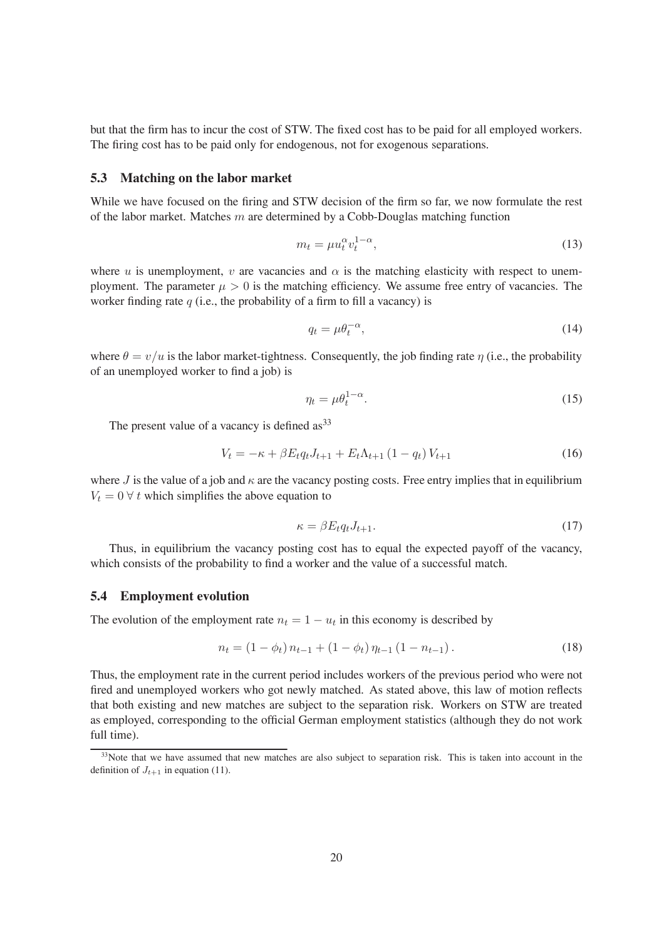but that the firm has to incur the cost of STW. The fixed cost has to be paid for all employed workers. The firing cost has to be paid only for endogenous, not for exogenous separations.

#### **5.3 Matching on the labor market**

While we have focused on the firing and STW decision of the firm so far, we now formulate the rest of the labor market. Matches  $m$  are determined by a Cobb-Douglas matching function

$$
m_t = \mu u_t^{\alpha} v_t^{1-\alpha},\tag{13}
$$

where u is unemployment, v are vacancies and  $\alpha$  is the matching elasticity with respect to unemployment. The parameter  $\mu > 0$  is the matching efficiency. We assume free entry of vacancies. The worker finding rate  $q$  (i.e., the probability of a firm to fill a vacancy) is

$$
q_t = \mu \theta_t^{-\alpha},\tag{14}
$$

where  $\theta = v/u$  is the labor market-tightness. Consequently, the job finding rate  $\eta$  (i.e., the probability of an unemployed worker to find a job) is

$$
\eta_t = \mu \theta_t^{1-\alpha}.\tag{15}
$$

The present value of a vacancy is defined  $as^{33}$ 

$$
V_t = -\kappa + \beta E_t q_t J_{t+1} + E_t \Lambda_{t+1} (1 - q_t) V_{t+1}
$$
\n(16)

where J is the value of a job and  $\kappa$  are the vacancy posting costs. Free entry implies that in equilibrium  $V_t = 0$   $\forall$  t which simplifies the above equation to

$$
\kappa = \beta E_t q_t J_{t+1}.\tag{17}
$$

Thus, in equilibrium the vacancy posting cost has to equal the expected payoff of the vacancy, which consists of the probability to find a worker and the value of a successful match.

#### **5.4 Employment evolution**

The evolution of the employment rate  $n_t = 1 - u_t$  in this economy is described by

$$
n_{t} = (1 - \phi_{t}) n_{t-1} + (1 - \phi_{t}) n_{t-1} (1 - n_{t-1}). \qquad (18)
$$

Thus, the employment rate in the current period includes workers of the previous period who were not fired and unemployed workers who got newly matched. As stated above, this law of motion reflects that both existing and new matches are subject to the separation risk. Workers on STW are treated as employed, corresponding to the official German employment statistics (although they do not work full time).

<sup>&</sup>lt;sup>33</sup>Note that we have assumed that new matches are also subject to separation risk. This is taken into account in the definition of  $J_{t+1}$  in equation (11).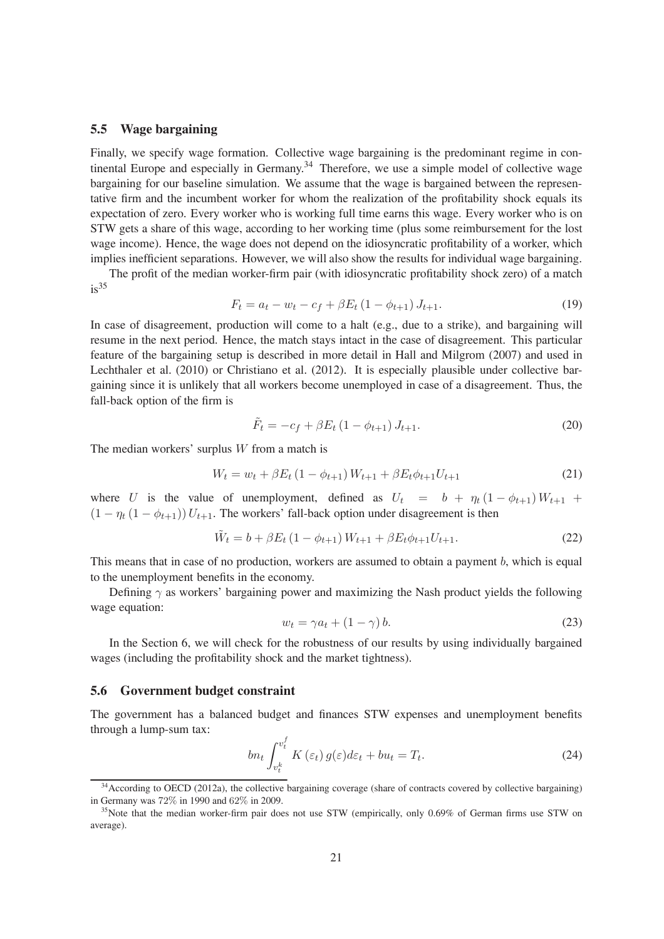#### **5.5 Wage bargaining**

Finally, we specify wage formation. Collective wage bargaining is the predominant regime in continental Europe and especially in Germany.<sup>34</sup> Therefore, we use a simple model of collective wage bargaining for our baseline simulation. We assume that the wage is bargained between the representative firm and the incumbent worker for whom the realization of the profitability shock equals its expectation of zero. Every worker who is working full time earns this wage. Every worker who is on STW gets a share of this wage, according to her working time (plus some reimbursement for the lost wage income). Hence, the wage does not depend on the idiosyncratic profitability of a worker, which implies inefficient separations. However, we will also show the results for individual wage bargaining.

The profit of the median worker-firm pair (with idiosyncratic profitability shock zero) of a match  $is^{35}$ 

$$
F_t = a_t - w_t - c_f + \beta E_t (1 - \phi_{t+1}) J_{t+1}.
$$
\n(19)

In case of disagreement, production will come to a halt (e.g., due to a strike), and bargaining will resume in the next period. Hence, the match stays intact in the case of disagreement. This particular feature of the bargaining setup is described in more detail in Hall and Milgrom (2007) and used in Lechthaler et al. (2010) or Christiano et al. (2012). It is especially plausible under collective bargaining since it is unlikely that all workers become unemployed in case of a disagreement. Thus, the fall-back option of the firm is

$$
\tilde{F}_t = -c_f + \beta E_t (1 - \phi_{t+1}) J_{t+1}.
$$
\n(20)

The median workers' surplus  $W$  from a match is

$$
W_t = w_t + \beta E_t (1 - \phi_{t+1}) W_{t+1} + \beta E_t \phi_{t+1} U_{t+1}
$$
\n(21)

where U is the value of unemployment, defined as  $U_t = b + \eta_t (1 - \phi_{t+1}) W_{t+1}$  +  $(1 - \eta_t (1 - \phi_{t+1})) U_{t+1}$ . The workers' fall-back option under disagreement is then

$$
\tilde{W}_t = b + \beta E_t (1 - \phi_{t+1}) W_{t+1} + \beta E_t \phi_{t+1} U_{t+1}.
$$
\n(22)

This means that in case of no production, workers are assumed to obtain a payment b, which is equal to the unemployment benefits in the economy.

Defining  $\gamma$  as workers' bargaining power and maximizing the Nash product yields the following wage equation:

$$
w_t = \gamma a_t + (1 - \gamma) b. \tag{23}
$$

In the Section 6, we will check for the robustness of our results by using individually bargained wages (including the profitability shock and the market tightness).

#### **5.6 Government budget constraint**

The government has a balanced budget and finances STW expenses and unemployment benefits through a lump-sum tax:

$$
bn_t \int_{v_t^k}^{v_t^f} K(\varepsilon_t) g(\varepsilon) d\varepsilon_t + bu_t = T_t.
$$
\n(24)

<sup>&</sup>lt;sup>34</sup> According to OECD (2012a), the collective bargaining coverage (share of contracts covered by collective bargaining) in Germany was 72% in 1990 and 62% in 2009.

 $35$ Note that the median worker-firm pair does not use STW (empirically, only 0.69% of German firms use STW on average).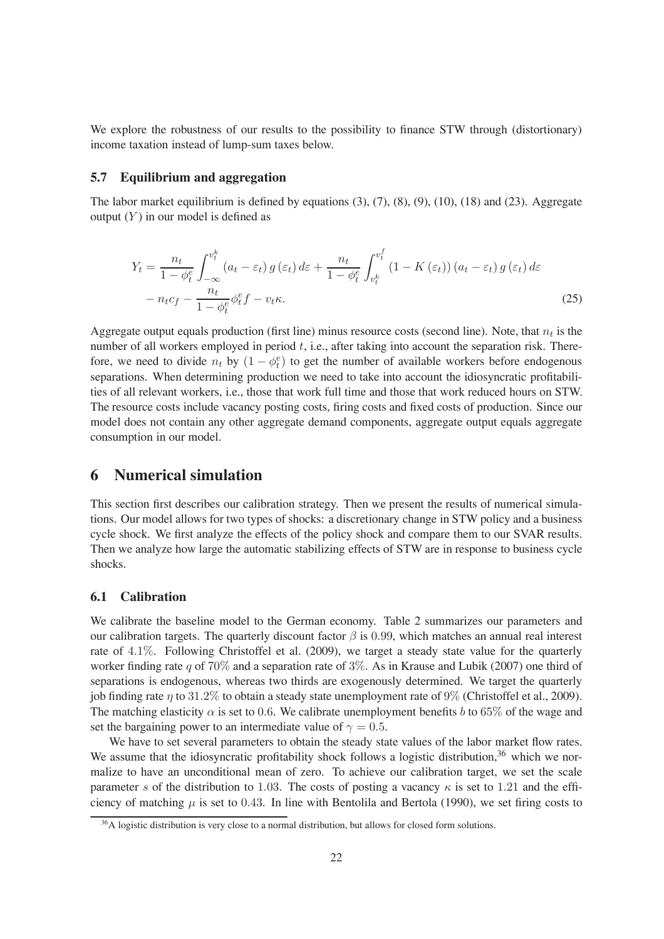We explore the robustness of our results to the possibility to finance STW through (distortionary) income taxation instead of lump-sum taxes below.

#### **5.7 Equilibrium and aggregation**

The labor market equilibrium is defined by equations  $(3)$ ,  $(7)$ ,  $(8)$ ,  $(9)$ ,  $(10)$ ,  $(18)$  and  $(23)$ . Aggregate output  $(Y)$  in our model is defined as

$$
Y_{t} = \frac{n_{t}}{1 - \phi_{t}^{e}} \int_{-\infty}^{v_{t}^{k}} (a_{t} - \varepsilon_{t}) g(\varepsilon_{t}) d\varepsilon + \frac{n_{t}}{1 - \phi_{t}^{e}} \int_{v_{t}^{k}}^{v_{t}^{f}} (1 - K(\varepsilon_{t})) (a_{t} - \varepsilon_{t}) g(\varepsilon_{t}) d\varepsilon
$$

$$
- n_{t} c_{f} - \frac{n_{t}}{1 - \phi_{t}^{e}} \phi_{t}^{e} f - v_{t} \kappa.
$$
(25)

Aggregate output equals production (first line) minus resource costs (second line). Note, that  $n_t$  is the number of all workers employed in period  $t$ , i.e., after taking into account the separation risk. Therefore, we need to divide  $n_t$  by  $(1 - \phi_t^e)$  to get the number of available workers before endogenous separations. When determining production we need to take into account the idiosyncratic profitabilities of all relevant workers, i.e., those that work full time and those that work reduced hours on STW. The resource costs include vacancy posting costs, firing costs and fixed costs of production. Since our model does not contain any other aggregate demand components, aggregate output equals aggregate consumption in our model.

#### **6 Numerical simulation**

This section first describes our calibration strategy. Then we present the results of numerical simulations. Our model allows for two types of shocks: a discretionary change in STW policy and a business cycle shock. We first analyze the effects of the policy shock and compare them to our SVAR results. Then we analyze how large the automatic stabilizing effects of STW are in response to business cycle shocks.

#### **6.1 Calibration**

We calibrate the baseline model to the German economy. Table 2 summarizes our parameters and our calibration targets. The quarterly discount factor  $\beta$  is 0.99, which matches an annual real interest rate of 4.1%. Following Christoffel et al. (2009), we target a steady state value for the quarterly worker finding rate q of 70% and a separation rate of 3%. As in Krause and Lubik (2007) one third of separations is endogenous, whereas two thirds are exogenously determined. We target the quarterly job finding rate  $\eta$  to 31.2% to obtain a steady state unemployment rate of 9% (Christoffel et al., 2009). The matching elasticity  $\alpha$  is set to 0.6. We calibrate unemployment benefits b to 65% of the wage and set the bargaining power to an intermediate value of  $\gamma = 0.5$ .

We have to set several parameters to obtain the steady state values of the labor market flow rates. We assume that the idiosyncratic profitability shock follows a logistic distribution,<sup>36</sup> which we normalize to have an unconditional mean of zero. To achieve our calibration target, we set the scale parameter s of the distribution to 1.03. The costs of posting a vacancy  $\kappa$  is set to 1.21 and the efficiency of matching  $\mu$  is set to 0.43. In line with Bentolila and Bertola (1990), we set firing costs to

 $36A$  logistic distribution is very close to a normal distribution, but allows for closed form solutions.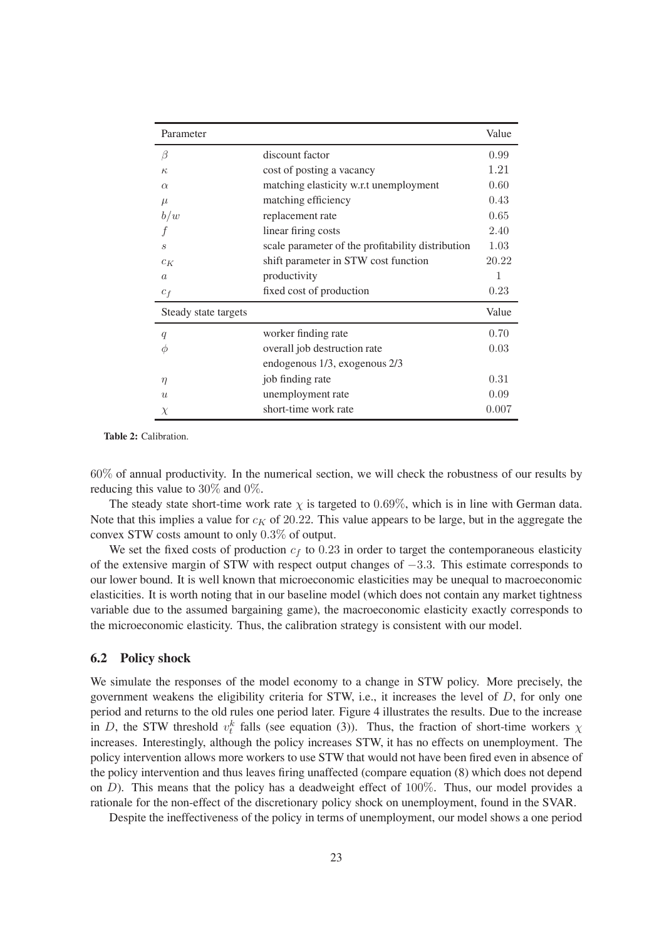| Parameter            |                                                   | Value |
|----------------------|---------------------------------------------------|-------|
| β                    | discount factor                                   | 0.99  |
| $\kappa$             | cost of posting a vacancy                         | 1.21  |
| $\alpha$             | matching elasticity w.r.t unemployment            | 0.60  |
| $\mu$                | matching efficiency                               | 0.43  |
| b/w                  | replacement rate                                  | 0.65  |
|                      | linear firing costs                               | 2.40  |
| $\mathcal{S}_{0}$    | scale parameter of the profitability distribution | 1.03  |
| $c_K$                | shift parameter in STW cost function              | 20.22 |
| $\alpha$             | productivity                                      | 1     |
| $c_f$                | fixed cost of production                          | 0.23  |
| Steady state targets |                                                   | Value |
| q                    | worker finding rate                               | 0.70  |
| Ф                    | overall job destruction rate                      | 0.03  |
|                      | endogenous 1/3, exogenous 2/3                     |       |
| $\eta$               | job finding rate                                  | 0.31  |
| $\boldsymbol{u}$     | unemployment rate                                 | 0.09  |
| $\chi$               | short-time work rate                              | 0.007 |

**Table 2:** Calibration.

60% of annual productivity. In the numerical section, we will check the robustness of our results by reducing this value to 30% and 0%.

The steady state short-time work rate  $\chi$  is targeted to 0.69%, which is in line with German data. Note that this implies a value for  $c_K$  of 20.22. This value appears to be large, but in the aggregate the convex STW costs amount to only 0.3% of output.

We set the fixed costs of production  $c_f$  to 0.23 in order to target the contemporaneous elasticity of the extensive margin of STW with respect output changes of −3.3. This estimate corresponds to our lower bound. It is well known that microeconomic elasticities may be unequal to macroeconomic elasticities. It is worth noting that in our baseline model (which does not contain any market tightness variable due to the assumed bargaining game), the macroeconomic elasticity exactly corresponds to the microeconomic elasticity. Thus, the calibration strategy is consistent with our model.

#### **6.2 Policy shock**

We simulate the responses of the model economy to a change in STW policy. More precisely, the government weakens the eligibility criteria for  $STW$ , i.e., it increases the level of  $D$ , for only one period and returns to the old rules one period later. Figure 4 illustrates the results. Due to the increase in D, the STW threshold  $v_t^k$  falls (see equation (3)). Thus, the fraction of short-time workers  $\chi$ increases. Interestingly, although the policy increases STW, it has no effects on unemployment. The policy intervention allows more workers to use STW that would not have been fired even in absence of the policy intervention and thus leaves ring unaffected (compare equation (8) which does not depend on  $D$ ). This means that the policy has a deadweight effect of  $100\%$ . Thus, our model provides a rationale for the non-effect of the discretionary policy shock on unemployment, found in the SVAR.

Despite the ineffectiveness of the policy in terms of unemployment, our model shows a one period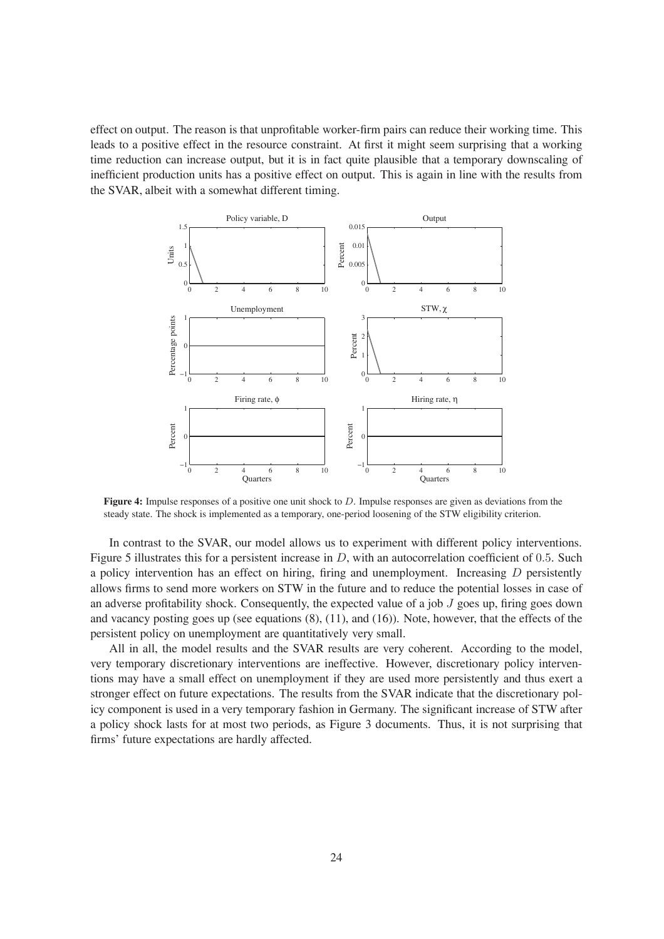effect on output. The reason is that unprofitable worker-firm pairs can reduce their working time. This leads to a positive effect in the resource constraint. At first it might seem surprising that a working time reduction can increase output, but it is in fact quite plausible that a temporary downscaling of inefficient production units has a positive effect on output. This is again in line with the results from the SVAR, albeit with a somewhat different timing.



**Figure 4:** Impulse responses of a positive one unit shock to D. Impulse responses are given as deviations from the steady state. The shock is implemented as a temporary, one-period loosening of the STW eligibility criterion.

In contrast to the SVAR, our model allows us to experiment with different policy interventions. Figure 5 illustrates this for a persistent increase in  $D$ , with an autocorrelation coefficient of 0.5. Such a policy intervention has an effect on hiring, firing and unemployment. Increasing  $D$  persistently allows firms to send more workers on STW in the future and to reduce the potential losses in case of an adverse profitability shock. Consequently, the expected value of a job  $J$  goes up, firing goes down and vacancy posting goes up (see equations  $(8)$ ,  $(11)$ , and  $(16)$ ). Note, however, that the effects of the persistent policy on unemployment are quantitatively very small.

All in all, the model results and the SVAR results are very coherent. According to the model, very temporary discretionary interventions are ineffective. However, discretionary policy interventions may have a small effect on unemployment if they are used more persistently and thus exert a stronger effect on future expectations. The results from the SVAR indicate that the discretionary policy component is used in a very temporary fashion in Germany. The significant increase of STW after a policy shock lasts for at most two periods, as Figure 3 documents. Thus, it is not surprising that firms' future expectations are hardly affected.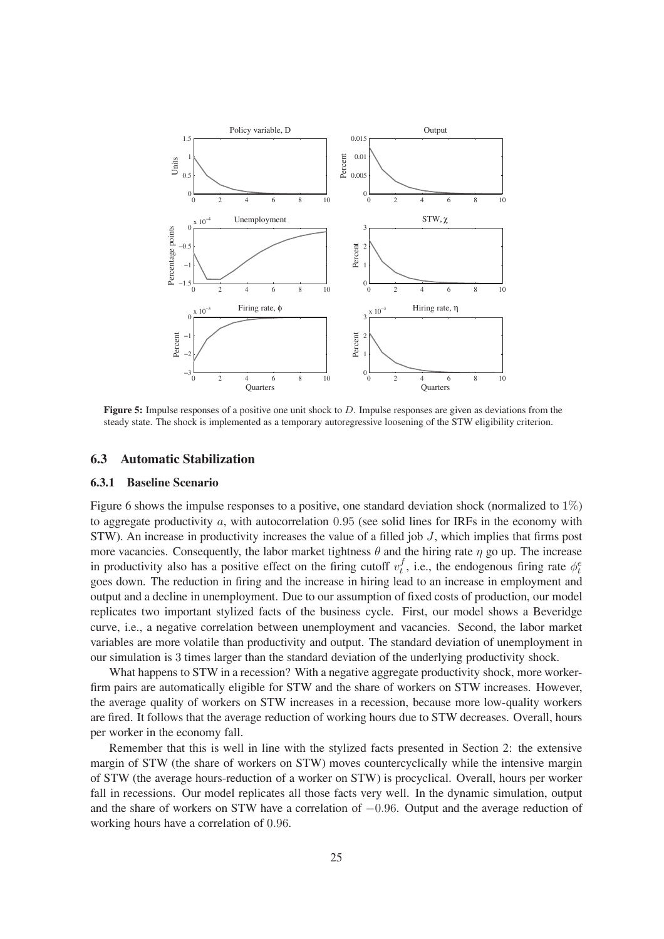

**Figure 5:** Impulse responses of a positive one unit shock to D. Impulse responses are given as deviations from the steady state. The shock is implemented as a temporary autoregressive loosening of the STW eligibility criterion.

#### **6.3 Automatic Stabilization**

#### **6.3.1 Baseline Scenario**

Figure 6 shows the impulse responses to a positive, one standard deviation shock (normalized to 1%) to aggregate productivity  $a$ , with autocorrelation 0.95 (see solid lines for IRFs in the economy with  $STW$ ). An increase in productivity increases the value of a filled job  $J$ , which implies that firms post more vacancies. Consequently, the labor market tightness  $\theta$  and the hiring rate  $\eta$  go up. The increase in productivity also has a positive effect on the firing cutoff  $v_t^f$  $t_t^f$ , i.e., the endogenous firing rate  $\phi_t^e$ goes down. The reduction in ring and the increase in hiring lead to an increase in employment and output and a decline in unemployment. Due to our assumption of fixed costs of production, our model replicates two important stylized facts of the business cycle. First, our model shows a Beveridge curve, i.e., a negative correlation between unemployment and vacancies. Second, the labor market variables are more volatile than productivity and output. The standard deviation of unemployment in our simulation is 3 times larger than the standard deviation of the underlying productivity shock.

What happens to STW in a recession? With a negative aggregate productivity shock, more workerfirm pairs are automatically eligible for STW and the share of workers on STW increases. However, the average quality of workers on STW increases in a recession, because more low-quality workers are fired. It follows that the average reduction of working hours due to STW decreases. Overall, hours per worker in the economy fall.

Remember that this is well in line with the stylized facts presented in Section 2: the extensive margin of STW (the share of workers on STW) moves countercyclically while the intensive margin of STW (the average hours-reduction of a worker on STW) is procyclical. Overall, hours per worker fall in recessions. Our model replicates all those facts very well. In the dynamic simulation, output and the share of workers on STW have a correlation of −0.96. Output and the average reduction of working hours have a correlation of 0.96.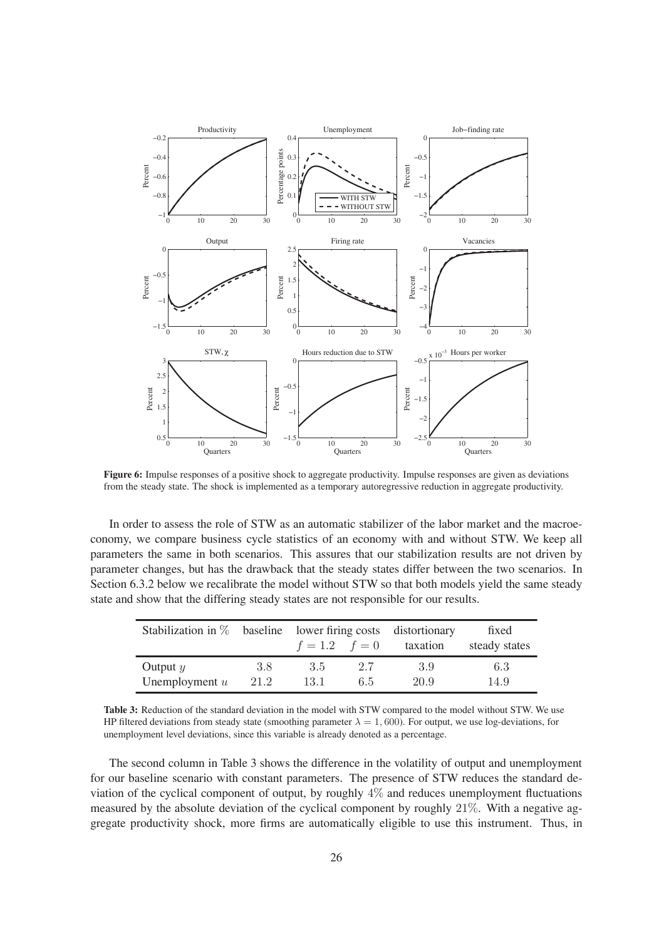

**Figure 6:** Impulse responses of a positive shock to aggregate productivity. Impulse responses are given as deviations from the steady state. The shock is implemented as a temporary autoregressive reduction in aggregate productivity.

In order to assess the role of STW as an automatic stabilizer of the labor market and the macroeconomy, we compare business cycle statistics of an economy with and without STW. We keep all parameters the same in both scenarios. This assures that our stabilization results are not driven by parameter changes, but has the drawback that the steady states differ between the two scenarios. In Section 6.3.2 below we recalibrate the model without STW so that both models yield the same steady state and show that the differing steady states are not responsible for our results.

|                  |      | Stabilization in $\%$ baseline lower firing costs distortionary |     |          |               |  | fixed |
|------------------|------|-----------------------------------------------------------------|-----|----------|---------------|--|-------|
|                  |      | $f = 1.2$ $f = 0$                                               |     | taxation | steady states |  |       |
| Output $y$       | 3.8  | 3.5                                                             | 2.7 | 3.9      | 6.3           |  |       |
| Unemployment $u$ | 21.2 | 13.1                                                            | 6.5 | 20.9     | 14.9          |  |       |

**Table 3:** Reduction of the standard deviation in the model with STW compared to the model without STW. We use HP filtered deviations from steady state (smoothing parameter  $\lambda = 1,600$ ). For output, we use log-deviations, for unemployment level deviations, since this variable is already denoted as a percentage.

The second column in Table 3 shows the difference in the volatility of output and unemployment for our baseline scenario with constant parameters. The presence of STW reduces the standard deviation of the cyclical component of output, by roughly  $4\%$  and reduces unemployment fluctuations measured by the absolute deviation of the cyclical component by roughly 21%. With a negative aggregate productivity shock, more firms are automatically eligible to use this instrument. Thus, in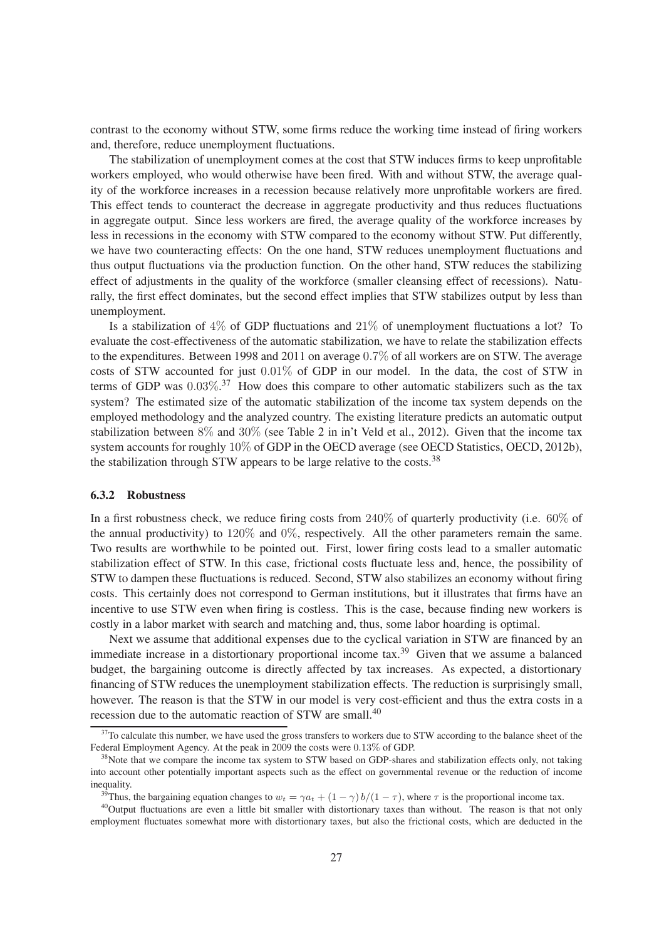contrast to the economy without STW, some firms reduce the working time instead of firing workers and, therefore, reduce unemployment fluctuations.

The stabilization of unemployment comes at the cost that STW induces firms to keep unprofitable workers employed, who would otherwise have been fired. With and without STW, the average quality of the workforce increases in a recession because relatively more unprofitable workers are fired. This effect tends to counteract the decrease in aggregate productivity and thus reduces fluctuations in aggregate output. Since less workers are fired, the average quality of the workforce increases by less in recessions in the economy with STW compared to the economy without STW. Put differently, we have two counteracting effects: On the one hand, STW reduces unemployment fluctuations and thus output fluctuations via the production function. On the other hand, STW reduces the stabilizing effect of adjustments in the quality of the workforce (smaller cleansing effect of recessions). Naturally, the first effect dominates, but the second effect implies that STW stabilizes output by less than unemployment.

Is a stabilization of  $4\%$  of GDP fluctuations and  $21\%$  of unemployment fluctuations a lot? To evaluate the cost-effectiveness of the automatic stabilization, we have to relate the stabilization effects to the expenditures. Between 1998 and 2011 on average 0.7% of all workers are on STW. The average costs of STW accounted for just 0.01% of GDP in our model. In the data, the cost of STW in terms of GDP was  $0.03\%$ .<sup>37</sup> How does this compare to other automatic stabilizers such as the tax system? The estimated size of the automatic stabilization of the income tax system depends on the employed methodology and the analyzed country. The existing literature predicts an automatic output stabilization between 8% and 30% (see Table 2 in in't Veld et al., 2012). Given that the income tax system accounts for roughly 10% of GDP in the OECD average (see OECD Statistics, OECD, 2012b), the stabilization through STW appears to be large relative to the costs.<sup>38</sup>

#### **6.3.2 Robustness**

In a first robustness check, we reduce firing costs from  $240\%$  of quarterly productivity (i.e.  $60\%$  of the annual productivity) to  $120\%$  and  $0\%$ , respectively. All the other parameters remain the same. Two results are worthwhile to be pointed out. First, lower firing costs lead to a smaller automatic stabilization effect of STW. In this case, frictional costs fluctuate less and, hence, the possibility of STW to dampen these fluctuations is reduced. Second, STW also stabilizes an economy without firing costs. This certainly does not correspond to German institutions, but it illustrates that firms have an incentive to use STW even when firing is costless. This is the case, because finding new workers is costly in a labor market with search and matching and, thus, some labor hoarding is optimal.

Next we assume that additional expenses due to the cyclical variation in STW are financed by an immediate increase in a distortionary proportional income tax.<sup>39</sup> Given that we assume a balanced budget, the bargaining outcome is directly affected by tax increases. As expected, a distortionary financing of STW reduces the unemployment stabilization effects. The reduction is surprisingly small, however. The reason is that the STW in our model is very cost-efficient and thus the extra costs in a recession due to the automatic reaction of STW are small.<sup>40</sup>

 $37$ To calculate this number, we have used the gross transfers to workers due to STW according to the balance sheet of the Federal Employment Agency. At the peak in 2009 the costs were 0.13% of GDP.

<sup>&</sup>lt;sup>38</sup>Note that we compare the income tax system to STW based on GDP-shares and stabilization effects only, not taking into account other potentially important aspects such as the effect on governmental revenue or the reduction of income inequality.

<sup>&</sup>lt;sup>39</sup>Thus, the bargaining equation changes to  $w_t = \gamma a_t + (1 - \gamma) b/(1 - \tau)$ , where  $\tau$  is the proportional income tax.

 $40$ Output fluctuations are even a little bit smaller with distortionary taxes than without. The reason is that not only employment fluctuates somewhat more with distortionary taxes, but also the frictional costs, which are deducted in the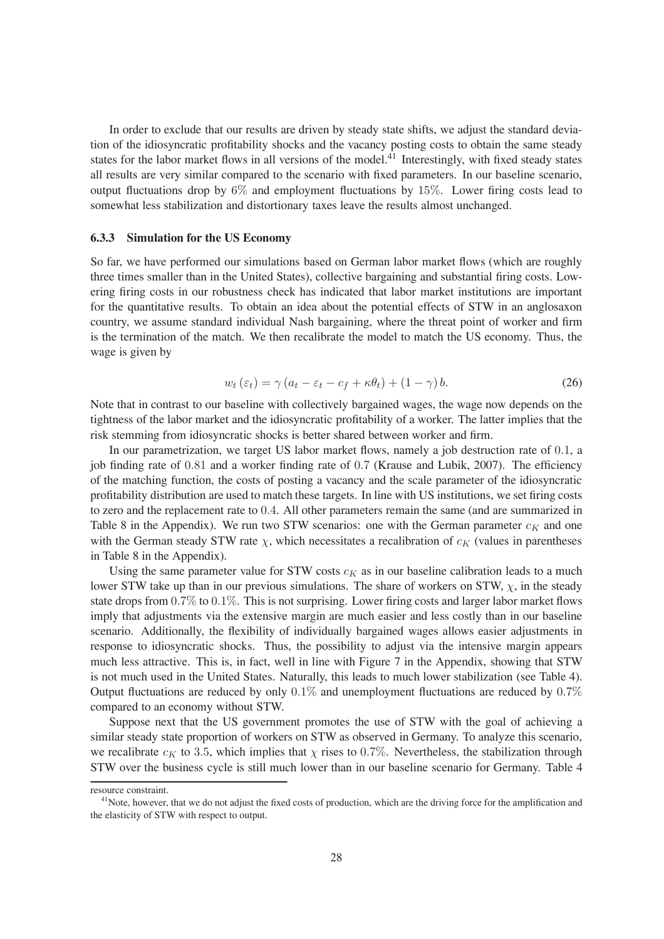In order to exclude that our results are driven by steady state shifts, we adjust the standard deviation of the idiosyncratic profitability shocks and the vacancy posting costs to obtain the same steady states for the labor market flows in all versions of the model. $^{41}$  Interestingly, with fixed steady states all results are very similar compared to the scenario with fixed parameters. In our baseline scenario, output fluctuations drop by  $6\%$  and employment fluctuations by 15%. Lower firing costs lead to somewhat less stabilization and distortionary taxes leave the results almost unchanged.

#### **6.3.3 Simulation for the US Economy**

So far, we have performed our simulations based on German labor market flows (which are roughly three times smaller than in the United States), collective bargaining and substantial ring costs. Lowering firing costs in our robustness check has indicated that labor market institutions are important for the quantitative results. To obtain an idea about the potential effects of STW in an anglosaxon country, we assume standard individual Nash bargaining, where the threat point of worker and firm is the termination of the match. We then recalibrate the model to match the US economy. Thus, the wage is given by

$$
w_t(\varepsilon_t) = \gamma (a_t - \varepsilon_t - c_f + \kappa \theta_t) + (1 - \gamma) b. \tag{26}
$$

Note that in contrast to our baseline with collectively bargained wages, the wage now depends on the tightness of the labor market and the idiosyncratic protability of a worker. The latter implies that the risk stemming from idiosyncratic shocks is better shared between worker and firm.

In our parametrization, we target US labor market flows, namely a job destruction rate of  $0.1$ , a job finding rate of  $0.81$  and a worker finding rate of  $0.7$  (Krause and Lubik, 2007). The efficiency of the matching function, the costs of posting a vacancy and the scale parameter of the idiosyncratic profitability distribution are used to match these targets. In line with US institutions, we set firing costs to zero and the replacement rate to 0.4. All other parameters remain the same (and are summarized in Table 8 in the Appendix). We run two STW scenarios: one with the German parameter  $c_K$  and one with the German steady STW rate  $\chi$ , which necessitates a recalibration of  $c_K$  (values in parentheses in Table 8 in the Appendix).

Using the same parameter value for STW costs  $c_K$  as in our baseline calibration leads to a much lower STW take up than in our previous simulations. The share of workers on STW,  $\chi$ , in the steady state drops from  $0.7\%$  to  $0.1\%$ . This is not surprising. Lower firing costs and larger labor market flows imply that adjustments via the extensive margin are much easier and less costly than in our baseline scenario. Additionally, the flexibility of individually bargained wages allows easier adjustments in response to idiosyncratic shocks. Thus, the possibility to adjust via the intensive margin appears much less attractive. This is, in fact, well in line with Figure 7 in the Appendix, showing that STW is not much used in the United States. Naturally, this leads to much lower stabilization (see Table 4). Output fluctuations are reduced by only  $0.1\%$  and unemployment fluctuations are reduced by  $0.7\%$ compared to an economy without STW.

Suppose next that the US government promotes the use of STW with the goal of achieving a similar steady state proportion of workers on STW as observed in Germany. To analyze this scenario, we recalibrate  $c_K$  to 3.5, which implies that  $\chi$  rises to 0.7%. Nevertheless, the stabilization through STW over the business cycle is still much lower than in our baseline scenario for Germany. Table 4

resource constraint.

 $41$ Note, however, that we do not adjust the fixed costs of production, which are the driving force for the amplification and the elasticity of STW with respect to output.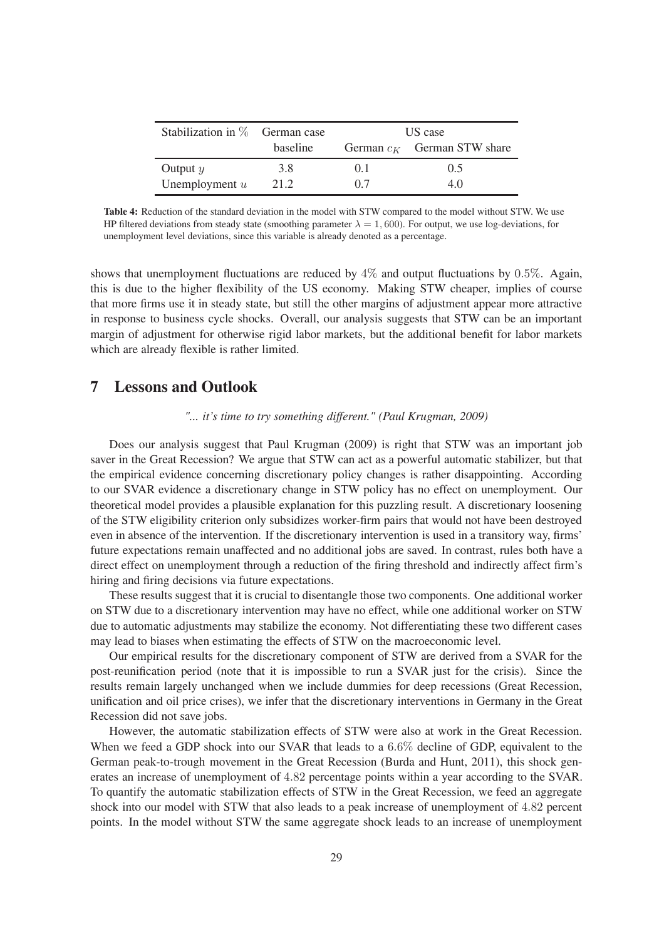| Stabilization in $\%$ German case |          | US case |                               |  |
|-----------------------------------|----------|---------|-------------------------------|--|
|                                   | baseline |         | German $c_K$ German STW share |  |
| Output $y$                        | 3.8      | () 1    | 0.5                           |  |
| Unemployment $u$                  | 21.2     | 07      | 4.0                           |  |

**Table 4:** Reduction of the standard deviation in the model with STW compared to the model without STW. We use HP filtered deviations from steady state (smoothing parameter  $\lambda = 1,600$ ). For output, we use log-deviations, for unemployment level deviations, since this variable is already denoted as a percentage.

shows that unemployment fluctuations are reduced by  $4\%$  and output fluctuations by 0.5%. Again, this is due to the higher flexibility of the US economy. Making STW cheaper, implies of course that more firms use it in steady state, but still the other margins of adjustment appear more attractive in response to business cycle shocks. Overall, our analysis suggests that STW can be an important margin of adjustment for otherwise rigid labor markets, but the additional benefit for labor markets which are already flexible is rather limited.

### **7 Lessons and Outlook**

#### *"... it's time to try something different." (Paul Krugman, 2009)*

Does our analysis suggest that Paul Krugman (2009) is right that STW was an important job saver in the Great Recession? We argue that STW can act as a powerful automatic stabilizer, but that the empirical evidence concerning discretionary policy changes is rather disappointing. According to our SVAR evidence a discretionary change in STW policy has no effect on unemployment. Our theoretical model provides a plausible explanation for this puzzling result. A discretionary loosening of the STW eligibility criterion only subsidizes worker-rm pairs that would not have been destroyed even in absence of the intervention. If the discretionary intervention is used in a transitory way, firms' future expectations remain unaffected and no additional jobs are saved. In contrast, rules both have a direct effect on unemployment through a reduction of the firing threshold and indirectly affect firm's hiring and firing decisions via future expectations.

These results suggest that it is crucial to disentangle those two components. One additional worker on STW due to a discretionary intervention may have no effect, while one additional worker on STW due to automatic adjustments may stabilize the economy. Not differentiating these two different cases may lead to biases when estimating the effects of STW on the macroeconomic level.

Our empirical results for the discretionary component of STW are derived from a SVAR for the post-reunification period (note that it is impossible to run a SVAR just for the crisis). Since the results remain largely unchanged when we include dummies for deep recessions (Great Recession, unification and oil price crises), we infer that the discretionary interventions in Germany in the Great Recession did not save jobs.

However, the automatic stabilization effects of STW were also at work in the Great Recession. When we feed a GDP shock into our SVAR that leads to a 6.6% decline of GDP, equivalent to the German peak-to-trough movement in the Great Recession (Burda and Hunt, 2011), this shock generates an increase of unemployment of 4.82 percentage points within a year according to the SVAR. To quantify the automatic stabilization effects of STW in the Great Recession, we feed an aggregate shock into our model with STW that also leads to a peak increase of unemployment of 4.82 percent points. In the model without STW the same aggregate shock leads to an increase of unemployment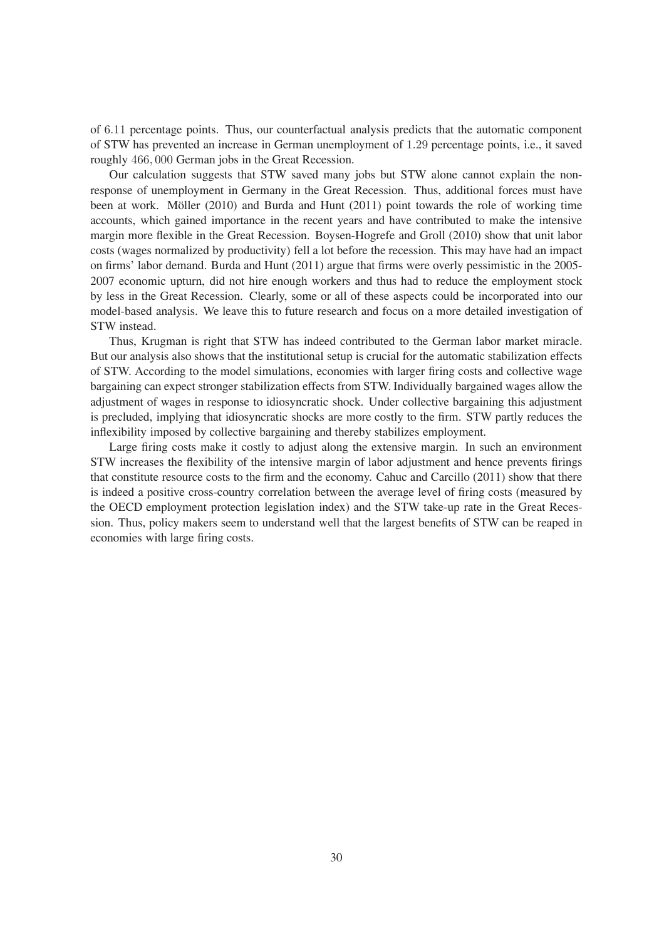of 6.11 percentage points. Thus, our counterfactual analysis predicts that the automatic component of STW has prevented an increase in German unemployment of 1.29 percentage points, i.e., it saved roughly 466, 000 German jobs in the Great Recession.

Our calculation suggests that STW saved many jobs but STW alone cannot explain the nonresponse of unemployment in Germany in the Great Recession. Thus, additional forces must have been at work. Möller (2010) and Burda and Hunt (2011) point towards the role of working time accounts, which gained importance in the recent years and have contributed to make the intensive margin more flexible in the Great Recession. Boysen-Hogrefe and Groll (2010) show that unit labor costs (wages normalized by productivity) fell a lot before the recession. This may have had an impact on firms' labor demand. Burda and Hunt (2011) argue that firms were overly pessimistic in the 2005-2007 economic upturn, did not hire enough workers and thus had to reduce the employment stock by less in the Great Recession. Clearly, some or all of these aspects could be incorporated into our model-based analysis. We leave this to future research and focus on a more detailed investigation of STW instead.

Thus, Krugman is right that STW has indeed contributed to the German labor market miracle. But our analysis also shows that the institutional setup is crucial for the automatic stabilization effects of STW. According to the model simulations, economies with larger firing costs and collective wage bargaining can expect stronger stabilization effects from STW. Individually bargained wages allow the adjustment of wages in response to idiosyncratic shock. Under collective bargaining this adjustment is precluded, implying that idiosyncratic shocks are more costly to the firm. STW partly reduces the in flexibility imposed by collective bargaining and thereby stabilizes employment.

Large firing costs make it costly to adjust along the extensive margin. In such an environment STW increases the flexibility of the intensive margin of labor adjustment and hence prevents firings that constitute resource costs to the firm and the economy. Cahuc and Carcillo  $(2011)$  show that there is indeed a positive cross-country correlation between the average level of firing costs (measured by the OECD employment protection legislation index) and the STW take-up rate in the Great Recession. Thus, policy makers seem to understand well that the largest benets of STW can be reaped in economies with large firing costs.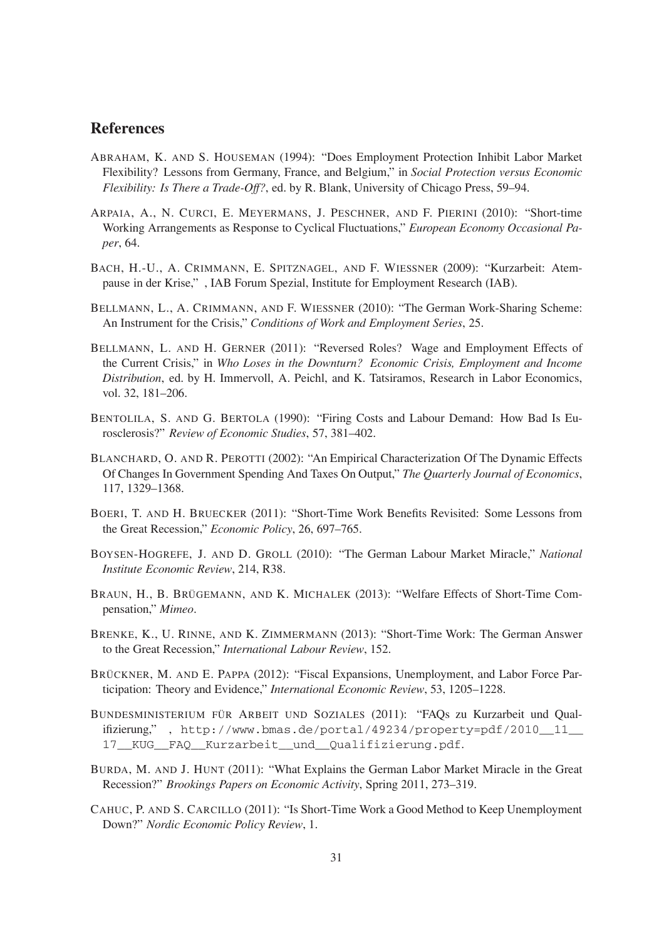### **References**

- ABRAHAM, K. AND S. HOUSEMAN (1994): "Does Employment Protection Inhibit Labor Market Flexibility? Lessons from Germany, France, and Belgium," in *Social Protection versus Economic Flexibility: Is There a Trade-Off?*, ed. by R. Blank, University of Chicago Press, 59–94.
- ARPAIA, A., N. CURCI, E. MEYERMANS, J. PESCHNER, AND F. PIERINI (2010): "Short-time Working Arrangements as Response to Cyclical Fluctuations," *European Economy Occasional Paper*, 64.
- BACH, H.-U., A. CRIMMANN, E. SPITZNAGEL, AND F. WIESSNER (2009): "Kurzarbeit: Atempause in der Krise," , IAB Forum Spezial, Institute for Employment Research (IAB).
- BELLMANN, L., A. CRIMMANN, AND F. WIESSNER (2010): "The German Work-Sharing Scheme: An Instrument for the Crisis," *Conditions of Work and Employment Series*, 25.
- BELLMANN, L. AND H. GERNER (2011): "Reversed Roles? Wage and Employment Effects of the Current Crisis," in *Who Loses in the Downturn? Economic Crisis, Employment and Income Distribution*, ed. by H. Immervoll, A. Peichl, and K. Tatsiramos, Research in Labor Economics, vol. 32, 181–206.
- BENTOLILA, S. AND G. BERTOLA (1990): "Firing Costs and Labour Demand: How Bad Is Eurosclerosis?" *Review of Economic Studies*, 57, 381–402.
- BLANCHARD, O. AND R. PEROTTI (2002): "An Empirical Characterization Of The Dynamic Effects Of Changes In Government Spending And Taxes On Output," *The Quarterly Journal of Economics*, 117, 1329–1368.
- BOERI, T. AND H. BRUECKER (2011): "Short-Time Work Benets Revisited: Some Lessons from the Great Recession," *Economic Policy*, 26, 697–765.
- BOYSEN-HOGREFE, J. AND D. GROLL (2010): "The German Labour Market Miracle," *National Institute Economic Review*, 214, R38.
- BRAUN, H., B. BRÜGEMANN, AND K. MICHALEK (2013): "Welfare Effects of Short-Time Compensation," *Mimeo*.
- BRENKE, K., U. RINNE, AND K. ZIMMERMANN (2013): "Short-Time Work: The German Answer to the Great Recession," *International Labour Review*, 152.
- BRÜCKNER, M. AND E. PAPPA (2012): "Fiscal Expansions, Unemployment, and Labor Force Participation: Theory and Evidence," *International Economic Review*, 53, 1205–1228.
- BUNDESMINISTERIUM FÜR ARBEIT UND SOZIALES (2011): "FAQs zu Kurzarbeit und Qual $i$ fizierung,", http://www.bmas.de/portal/49234/property=pdf/2010 $11$ 17\_\_KUG\_\_FAQ\_\_Kurzarbeit\_\_und\_\_Qualifizierung.pdf.
- BURDA, M. AND J. HUNT (2011): "What Explains the German Labor Market Miracle in the Great Recession?" *Brookings Papers on Economic Activity*, Spring 2011, 273–319.
- CAHUC, P. AND S. CARCILLO (2011): "Is Short-Time Work a Good Method to Keep Unemployment Down?" *Nordic Economic Policy Review*, 1.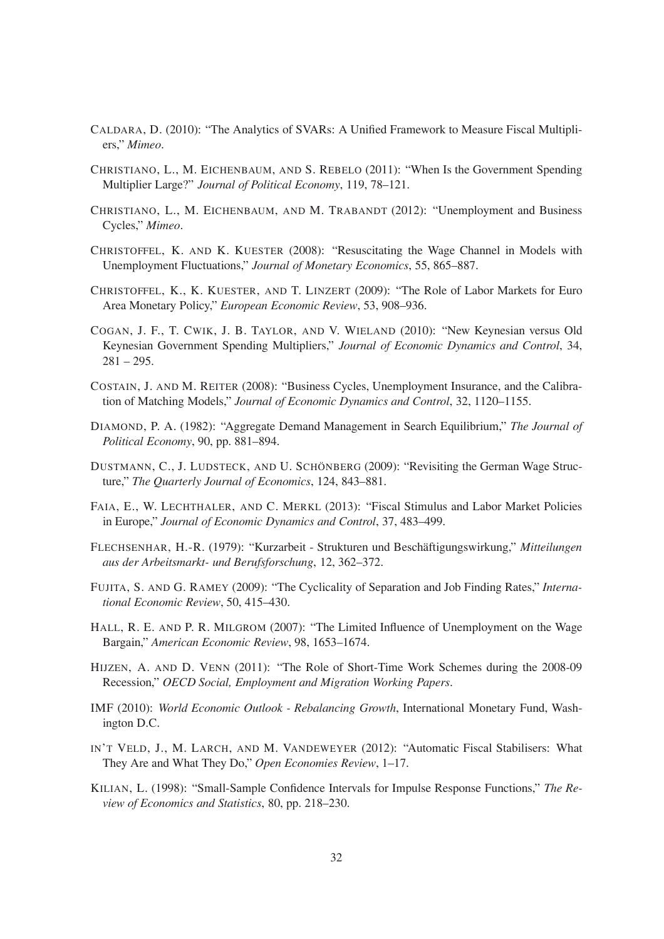- CALDARA, D. (2010): "The Analytics of SVARs: A Unified Framework to Measure Fiscal Multipliers," *Mimeo*.
- CHRISTIANO, L., M. EICHENBAUM, AND S. REBELO (2011): "When Is the Government Spending Multiplier Large?" *Journal of Political Economy*, 119, 78–121.
- CHRISTIANO, L., M. EICHENBAUM, AND M. TRABANDT (2012): "Unemployment and Business Cycles," *Mimeo*.
- CHRISTOFFEL, K. AND K. KUESTER (2008): "Resuscitating the Wage Channel in Models with Unemployment Fluctuations," *Journal of Monetary Economics*, 55, 865–887.
- CHRISTOFFEL, K., K. KUESTER, AND T. LINZERT (2009): "The Role of Labor Markets for Euro Area Monetary Policy," *European Economic Review*, 53, 908–936.
- COGAN, J. F., T. CWIK, J. B. TAYLOR, AND V. WIELAND (2010): "New Keynesian versus Old Keynesian Government Spending Multipliers," *Journal of Economic Dynamics and Control*, 34,  $281 - 295.$
- COSTAIN, J. AND M. REITER (2008): "Business Cycles, Unemployment Insurance, and the Calibration of Matching Models," *Journal of Economic Dynamics and Control*, 32, 1120–1155.
- DIAMOND, P. A. (1982): "Aggregate Demand Management in Search Equilibrium," *The Journal of Political Economy*, 90, pp. 881–894.
- DUSTMANN, C., J. LUDSTECK, AND U. SCHÖNBERG (2009): "Revisiting the German Wage Structure," *The Quarterly Journal of Economics*, 124, 843–881.
- FAIA, E., W. LECHTHALER, AND C. MERKL (2013): "Fiscal Stimulus and Labor Market Policies in Europe," *Journal of Economic Dynamics and Control*, 37, 483–499.
- FLECHSENHAR, H.-R. (1979): "Kurzarbeit Strukturen und Beschäftigungswirkung," *Mitteilungen aus der Arbeitsmarkt- und Berufsforschung*, 12, 362–372.
- FUJITA, S. AND G. RAMEY (2009): "The Cyclicality of Separation and Job Finding Rates," *International Economic Review*, 50, 415–430.
- HALL, R. E. AND P. R. MILGROM (2007): "The Limited Influence of Unemployment on the Wage Bargain," *American Economic Review*, 98, 1653–1674.
- HIJZEN, A. AND D. VENN (2011): "The Role of Short-Time Work Schemes during the 2008-09 Recession," *OECD Social, Employment and Migration Working Papers*.
- IMF (2010): *World Economic Outlook Rebalancing Growth*, International Monetary Fund, Washington D.C.
- IN'T VELD, J., M. LARCH, AND M. VANDEWEYER (2012): "Automatic Fiscal Stabilisers: What They Are and What They Do," *Open Economies Review*, 1–17.
- KILIAN, L. (1998): "Small-Sample Condence Intervals for Impulse Response Functions," *The Review of Economics and Statistics*, 80, pp. 218–230.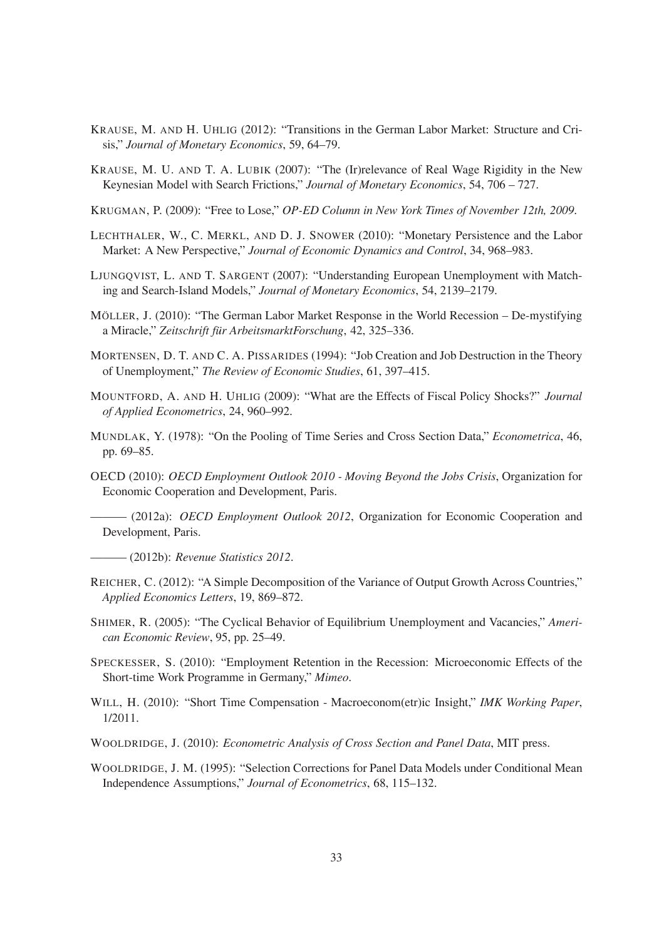- KRAUSE, M. AND H. UHLIG (2012): "Transitions in the German Labor Market: Structure and Crisis," *Journal of Monetary Economics*, 59, 64–79.
- KRAUSE, M. U. AND T. A. LUBIK (2007): "The (Ir)relevance of Real Wage Rigidity in the New Keynesian Model with Search Frictions," *Journal of Monetary Economics*, 54, 706 – 727.
- KRUGMAN, P. (2009): "Free to Lose," *OP-ED Column in New York Times of November 12th, 2009*.
- LECHTHALER, W., C. MERKL, AND D. J. SNOWER (2010): "Monetary Persistence and the Labor Market: A New Perspective," *Journal of Economic Dynamics and Control*, 34, 968–983.
- LJUNGQVIST, L. AND T. SARGENT (2007): "Understanding European Unemployment with Matching and Search-Island Models," *Journal of Monetary Economics*, 54, 2139–2179.
- MÖLLER, J. (2010): "The German Labor Market Response in the World Recession De-mystifying a Miracle," *Zeitschrift für ArbeitsmarktForschung*, 42, 325–336.
- MORTENSEN, D. T. AND C. A. PISSARIDES (1994): "Job Creation and Job Destruction in the Theory of Unemployment," *The Review of Economic Studies*, 61, 397–415.
- MOUNTFORD, A. AND H. UHLIG (2009): "What are the Effects of Fiscal Policy Shocks?" *Journal of Applied Econometrics*, 24, 960–992.
- MUNDLAK, Y. (1978): "On the Pooling of Time Series and Cross Section Data," *Econometrica*, 46, pp. 69–85.
- OECD (2010): *OECD Employment Outlook 2010 Moving Beyond the Jobs Crisis*, Organization for Economic Cooperation and Development, Paris.
- ——— (2012a): *OECD Employment Outlook 2012*, Organization for Economic Cooperation and Development, Paris.
- ——— (2012b): *Revenue Statistics 2012*.
- REICHER, C. (2012): "A Simple Decomposition of the Variance of Output Growth Across Countries," *Applied Economics Letters*, 19, 869–872.
- SHIMER, R. (2005): "The Cyclical Behavior of Equilibrium Unemployment and Vacancies," *American Economic Review*, 95, pp. 25–49.
- SPECKESSER, S. (2010): "Employment Retention in the Recession: Microeconomic Effects of the Short-time Work Programme in Germany," *Mimeo*.
- WILL, H. (2010): "Short Time Compensation Macroeconom(etr)ic Insight," *IMK Working Paper*, 1/2011.
- WOOLDRIDGE, J. (2010): *Econometric Analysis of Cross Section and Panel Data*, MIT press.
- WOOLDRIDGE, J. M. (1995): "Selection Corrections for Panel Data Models under Conditional Mean Independence Assumptions," *Journal of Econometrics*, 68, 115–132.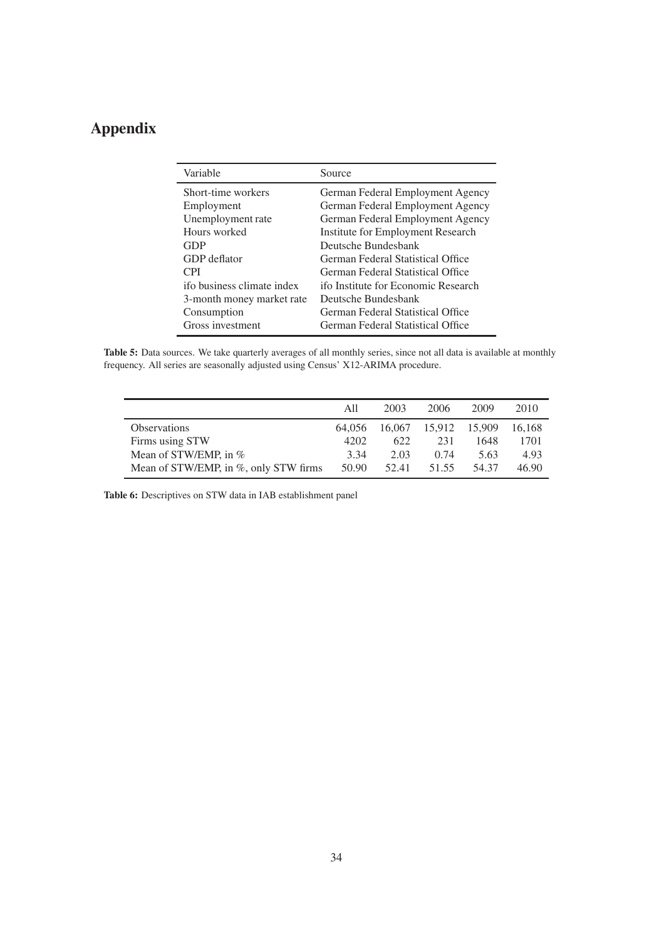# **Appendix**

| Source                                   |
|------------------------------------------|
| German Federal Employment Agency         |
| German Federal Employment Agency         |
| German Federal Employment Agency         |
| <b>Institute for Employment Research</b> |
| Deutsche Bundesbank                      |
| German Federal Statistical Office        |
| German Federal Statistical Office        |
| ifo Institute for Economic Research      |
| Deutsche Bundesbank                      |
| German Federal Statistical Office        |
| German Federal Statistical Office        |
|                                          |

**Table 5:** Data sources. We take quarterly averages of all monthly series, since not all data is available at monthly frequency. All series are seasonally adjusted using Census' X12-ARIMA procedure.

|                                       | All    | 2003   | 2006   | 2009   | 2010   |
|---------------------------------------|--------|--------|--------|--------|--------|
| <b>Observations</b>                   | 64.056 | 16,067 | 15.912 | 15,909 | 16.168 |
| Firms using STW                       | 4202   | 622    | 231    | 1648   | 1701   |
| Mean of STW/EMP, in %                 | 3.34   | 2.03   | 0.74   | 5.63   | 4.93   |
| Mean of STW/EMP, in %, only STW firms | 50.90  | 52.41  | 51.55  | 54.37  | 46.90  |

**Table 6:** Descriptives on STW data in IAB establishment panel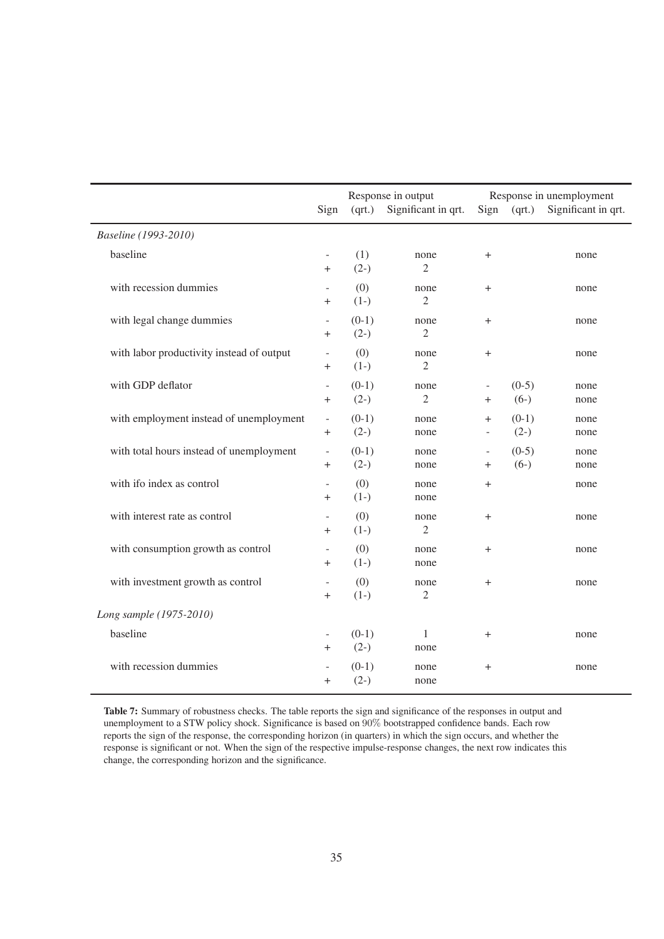|                                           | Sign                                       | (qrt.)            | Response in output<br>Significant in qrt. | Sign                               | (qrt.)            | Response in unemployment<br>Significant in qrt. |
|-------------------------------------------|--------------------------------------------|-------------------|-------------------------------------------|------------------------------------|-------------------|-------------------------------------------------|
| Baseline (1993-2010)                      |                                            |                   |                                           |                                    |                   |                                                 |
| baseline                                  | $\overline{\phantom{a}}$<br>$+$            | (1)<br>$(2-)$     | none<br>$\overline{c}$                    | $^{+}$                             |                   | none                                            |
| with recession dummies                    | $^{+}$                                     | (0)<br>$(1-)$     | none<br>$\overline{c}$                    | $^{+}$                             |                   | none                                            |
| with legal change dummies                 | $\overline{\phantom{a}}$<br>$\overline{+}$ | $(0-1)$<br>$(2-)$ | none<br>$\mathfrak{2}$                    | $^{+}$                             |                   | none                                            |
| with labor productivity instead of output | $^{+}$                                     | (0)<br>$(1-)$     | none<br>$\overline{2}$                    | $^{+}$                             |                   | none                                            |
| with GDP deflator                         | $\bar{\phantom{a}}$<br>$\ddot{}$           | $(0-1)$<br>$(2-)$ | none<br>$\mathfrak{2}$                    | $\overline{\phantom{a}}$<br>$^{+}$ | $(0-5)$<br>$(6-)$ | none<br>none                                    |
| with employment instead of unemployment   | $\overline{\phantom{a}}$<br>$\overline{+}$ | $(0-1)$<br>$(2-)$ | none<br>none                              | $^{+}$<br>$\blacksquare$           | $(0-1)$<br>$(2-)$ | none<br>none                                    |
| with total hours instead of unemployment  | $\overline{\phantom{a}}$<br>$^{+}$         | $(0-1)$<br>$(2-)$ | none<br>none                              | $\overline{\phantom{a}}$<br>$^{+}$ | $(0-5)$<br>$(6-)$ | none<br>none                                    |
| with ifo index as control                 | $\overline{\phantom{a}}$<br>$\mathrm{+}$   | (0)<br>$(1-)$     | none<br>none                              | $^{+}$                             |                   | none                                            |
| with interest rate as control             | $^{+}$                                     | (0)<br>$(1-)$     | none<br>$\mathfrak{2}$                    | $^{+}$                             |                   | none                                            |
| with consumption growth as control        | $\overline{\phantom{a}}$<br>$^{+}$         | (0)<br>$(1-)$     | none<br>none                              | $^{+}$                             |                   | none                                            |
| with investment growth as control         | $\ddot{}$                                  | (0)<br>$(1-)$     | none<br>2                                 | $^{+}$                             |                   | none                                            |
| Long sample (1975-2010)                   |                                            |                   |                                           |                                    |                   |                                                 |
| baseline                                  | $\overline{\phantom{a}}$<br>$^{+}$         | $(0-1)$<br>$(2-)$ | 1<br>none                                 | $^{+}$                             |                   | none                                            |
| with recession dummies                    | $^{+}$                                     | $(0-1)$<br>$(2-)$ | none<br>none                              | $\mathrm{+}$                       |                   | none                                            |

Table 7: Summary of robustness checks. The table reports the sign and significance of the responses in output and unemployment to a STW policy shock. Significance is based on 90% bootstrapped confidence bands. Each row reports the sign of the response, the corresponding horizon (in quarters) in which the sign occurs, and whether the response is significant or not. When the sign of the respective impulse-response changes, the next row indicates this change, the corresponding horizon and the signicance.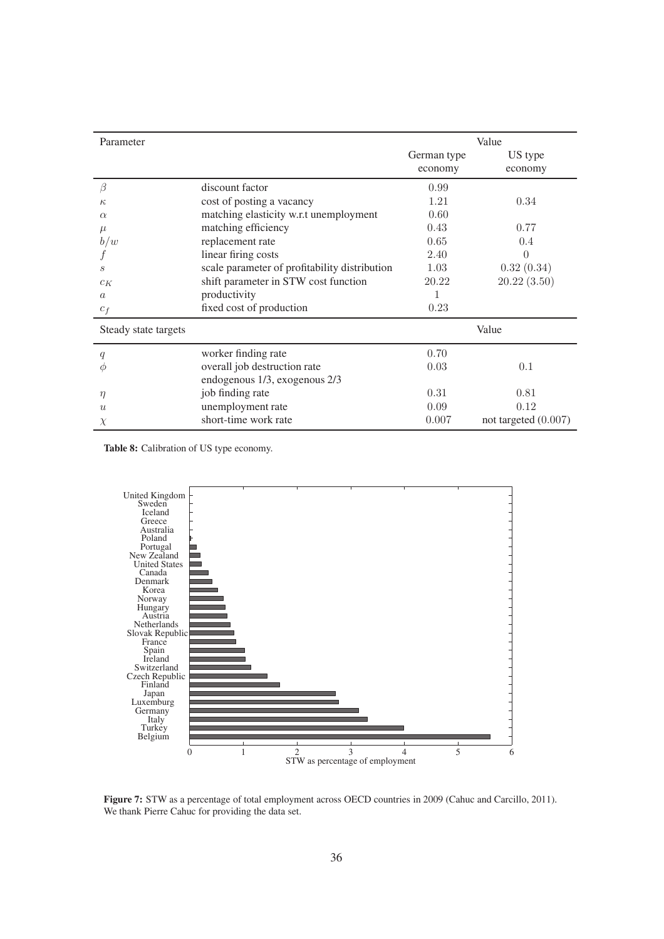| Parameter            |                                               | Value       |                        |  |  |
|----------------------|-----------------------------------------------|-------------|------------------------|--|--|
|                      |                                               | German type | US type                |  |  |
|                      |                                               | economy     | economy                |  |  |
| ß                    | discount factor                               | 0.99        |                        |  |  |
| $\kappa$             | cost of posting a vacancy                     | 1.21        | 0.34                   |  |  |
| $\alpha$             | matching elasticity w.r.t unemployment        | 0.60        |                        |  |  |
| $\mu$                | matching efficiency                           | 0.43        | 0.77                   |  |  |
| b/w                  | replacement rate                              | 0.65        | 0.4                    |  |  |
|                      | linear firing costs                           | 2.40        | $\left( \right)$       |  |  |
| S                    | scale parameter of profitability distribution | 1.03        | 0.32(0.34)             |  |  |
| $c_K$                | shift parameter in STW cost function          | 20.22       | 20.22(3.50)            |  |  |
| $\alpha$             | productivity                                  | 1           |                        |  |  |
| $c_f$                | fixed cost of production                      | 0.23        |                        |  |  |
| Steady state targets |                                               |             | Value                  |  |  |
| q                    | worker finding rate                           | 0.70        |                        |  |  |
| Ф                    | overall job destruction rate                  | 0.03        | 0.1                    |  |  |
|                      | endogenous 1/3, exogenous 2/3                 |             |                        |  |  |
| $\eta$               | job finding rate                              | 0.31        | 0.81                   |  |  |
| $\overline{u}$       | unemployment rate                             | 0.09        | 0.12                   |  |  |
| $\chi$               | short-time work rate                          | 0.007       | not targeted $(0.007)$ |  |  |

**Table 8:** Calibration of US type economy.



Figure 7: STW as a percentage of total employment across OECD countries in 2009 (Cahuc and Carcillo, 2011). We thank Pierre Cahuc for providing the data set.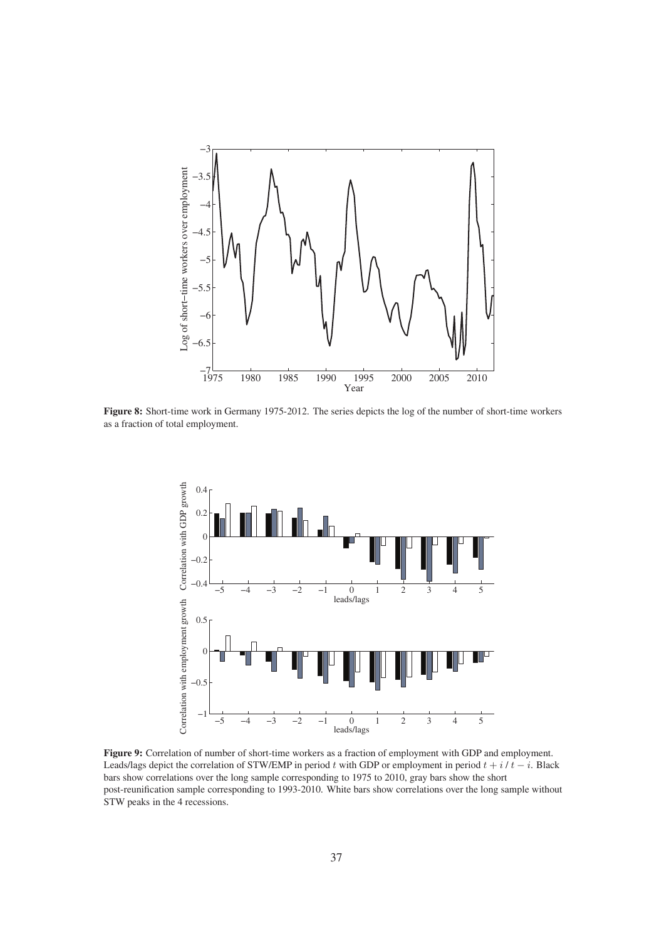

**Figure 8:** Short-time work in Germany 1975-2012. The series depicts the log of the number of short-time workers as a fraction of total employment.



**Figure 9:** Correlation of number of short-time workers as a fraction of employment with GDP and employment. Leads/lags depict the correlation of STW/EMP in period t with GDP or employment in period  $t + i/t - i$ . Black bars show correlations over the long sample corresponding to 1975 to 2010, gray bars show the short post-reunification sample corresponding to 1993-2010. White bars show correlations over the long sample without STW peaks in the 4 recessions.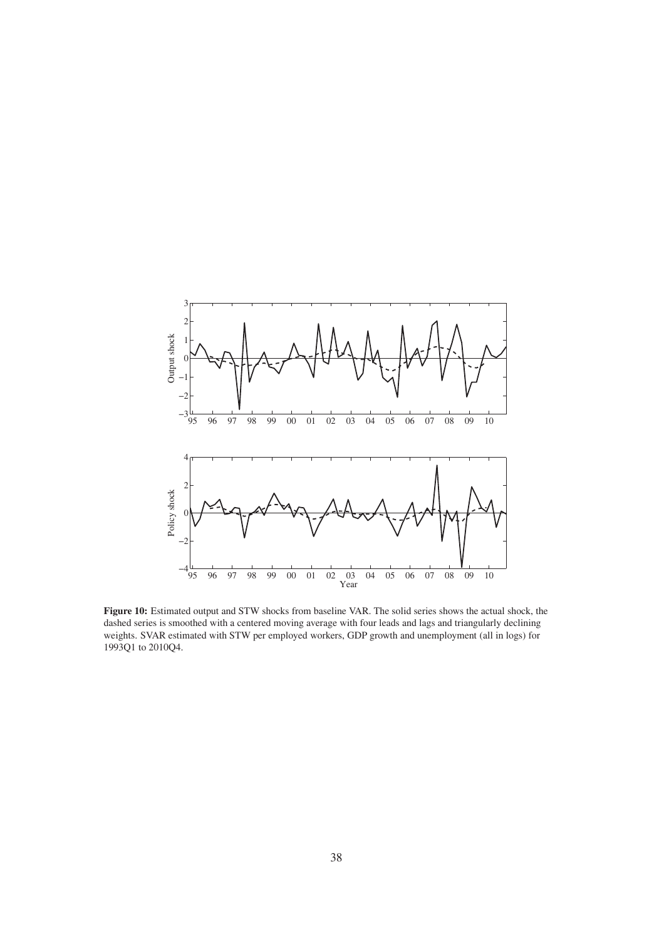

**Figure 10:** Estimated output and STW shocks from baseline VAR. The solid series shows the actual shock, the dashed series is smoothed with a centered moving average with four leads and lags and triangularly declining weights. SVAR estimated with STW per employed workers, GDP growth and unemployment (all in logs) for 1993Q1 to 2010Q4.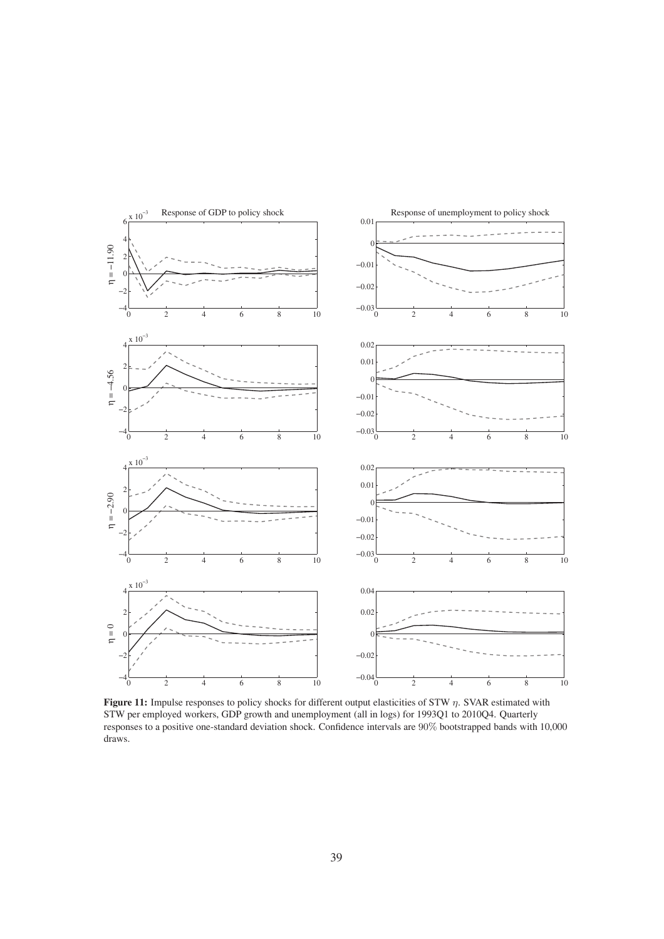

**Figure 11:** Impulse responses to policy shocks for different output elasticities of STW η. SVAR estimated with STW per employed workers, GDP growth and unemployment (all in logs) for 1993Q1 to 2010Q4. Quarterly responses to a positive one-standard deviation shock. Confidence intervals are 90% bootstrapped bands with 10,000 draws.